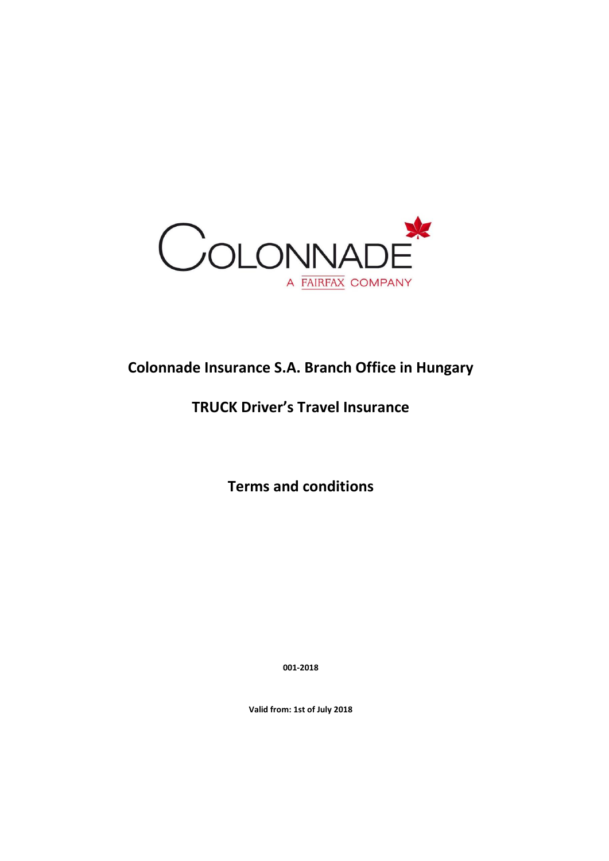

# **Colonnade Insurance S.A. Branch Office in Hungary**

# **TRUCK Driver's Travel Insurance**

**Terms and conditions**

**001-2018**

**Valid from: 1st of July 2018**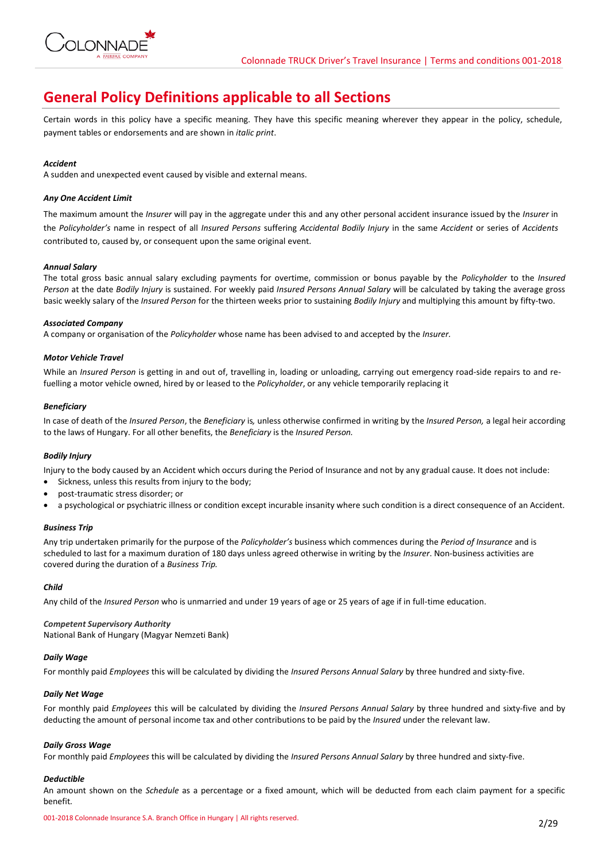

## **General Policy Definitions applicable to all Sections**

Certain words in this policy have a specific meaning. They have this specific meaning wherever they appear in the policy, schedule, payment tables or endorsements and are shown in *italic print*.

## *Accident*

A sudden and unexpected event caused by visible and external means.

## *Any One Accident Limit*

The maximum amount the *Insurer* will pay in the aggregate under this and any other personal accident insurance issued by the *Insurer* in the *Policyholder's* name in respect of all *Insured Persons* suffering *Accidental Bodily Injury* in the same *Accident* or series of *Accidents*  contributed to, caused by, or consequent upon the same original event.

## *Annual Salary*

The total gross basic annual salary excluding payments for overtime, commission or bonus payable by the *Policyholder* to the *Insured Person* at the date *Bodily Injury* is sustained. For weekly paid *Insured Persons Annual Salary* will be calculated by taking the average gross basic weekly salary of the *Insured Person* for the thirteen weeks prior to sustaining *Bodily Injury* and multiplying this amount by fifty-two.

## *Associated Company*

A company or organisation of the *Policyholder* whose name has been advised to and accepted by the *Insurer.*

## *Motor Vehicle Travel*

While an *Insured Person* is getting in and out of, travelling in, loading or unloading, carrying out emergency road-side repairs to and refuelling a motor vehicle owned, hired by or leased to the *Policyholder*, or any vehicle temporarily replacing it

## *Beneficiary*

In case of death of the *Insured Person*, the *Beneficiary* is*,* unless otherwise confirmed in writing by the *Insured Person,* a legal heir according to the laws of Hungary. For all other benefits, the *Beneficiary* is the *Insured Person.*

#### *Bodily Injury*

Injury to the body caused by an Accident which occurs during the Period of Insurance and not by any gradual cause. It does not include:

- Sickness, unless this results from injury to the body;
- post-traumatic stress disorder; or
- a psychological or psychiatric illness or condition except incurable insanity where such condition is a direct consequence of an Accident.

#### *Business Trip*

Any trip undertaken primarily for the purpose of the *Policyholder's* business which commences during the *Period of Insurance* and is scheduled to last for a maximum duration of 180 days unless agreed otherwise in writing by the *Insurer*. Non-business activities are covered during the duration of a *Business Trip.*

#### *Child*

Any child of the *Insured Person* who is unmarried and under 19 years of age or 25 years of age if in full-time education.

*Competent Supervisory Authority* National Bank of Hungary (Magyar Nemzeti Bank)

## *Daily Wage*

For monthly paid *Employees* this will be calculated by dividing the *Insured Persons Annual Salary* by three hundred and sixty-five.

## *Daily Net Wage*

For monthly paid *Employees* this will be calculated by dividing the *Insured Persons Annual Salary* by three hundred and sixty-five and by deducting the amount of personal income tax and other contributions to be paid by the *Insured* under the relevant law.

#### *Daily Gross Wage*

For monthly paid *Employees* this will be calculated by dividing the *Insured Persons Annual Salary* by three hundred and sixty-five.

## *Deductible*

An amount shown on the *Schedule* as a percentage or a fixed amount, which will be deducted from each claim payment for a specific benefit*.*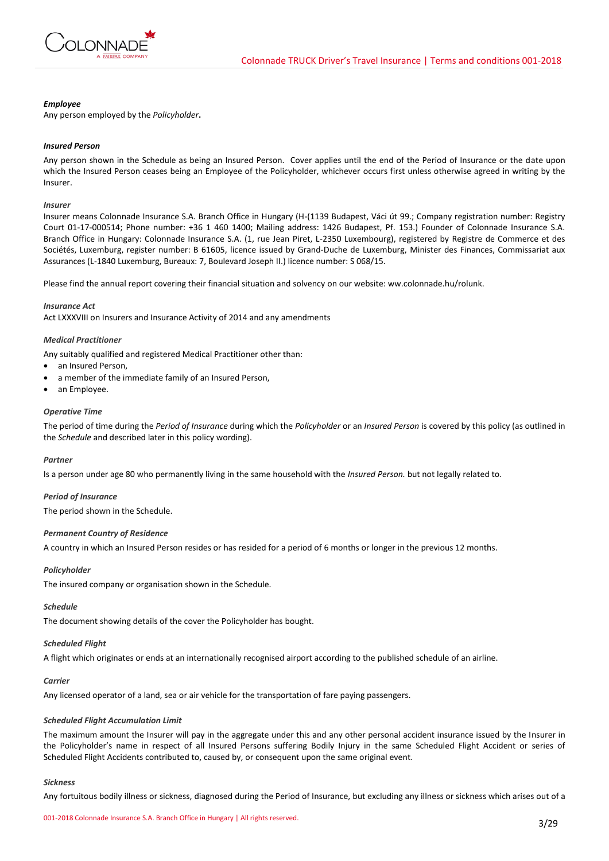

## *Employee*

Any person employed by the *Policyholder***.**

## *Insured Person*

Any person shown in the Schedule as being an Insured Person. Cover applies until the end of the Period of Insurance or the date upon which the Insured Person ceases being an Employee of the Policyholder, whichever occurs first unless otherwise agreed in writing by the Insurer.

#### *Insurer*

Insurer means Colonnade Insurance S.A. Branch Office in Hungary (H-(1139 Budapest, Váci út 99.; Company registration number: Registry Court 01-17-000514; Phone number: +36 1 460 1400; Mailing address: 1426 Budapest, Pf. 153.) Founder of Colonnade Insurance S.A. Branch Office in Hungary: Colonnade Insurance S.A. (1, rue Jean Piret, L-2350 Luxembourg), registered by Registre de Commerce et des Sociétés, Luxemburg, register number: B 61605, licence issued by Grand-Duche de Luxemburg, Minister des Finances, Commissariat aux Assurances (L-1840 Luxemburg, Bureaux: 7, Boulevard Joseph II.) licence number: S 068/15.

Please find the annual report covering their financial situation and solvency on our website: ww.colonnade.hu/rolunk.

#### *Insurance Act*

Act LXXXVIII on Insurers and Insurance Activity of 2014 and any amendments

#### *Medical Practitioner*

Any suitably qualified and registered Medical Practitioner other than:

- an Insured Person.
- a member of the immediate family of an Insured Person,
- an Employee.

## *Operative Time*

The period of time during the *Period of Insurance* during which the *Policyholder* or an *Insured Person* is covered by this policy (as outlined in the *Schedule* and described later in this policy wording).

#### *Partner*

Is a person under age 80 who permanently living in the same household with the *Insured Person.* but not legally related to.

#### *Period of Insurance*

The period shown in the Schedule.

## *Permanent Country of Residence*

A country in which an Insured Person resides or has resided for a period of 6 months or longer in the previous 12 months.

#### *Policyholder*

The insured company or organisation shown in the Schedule.

#### *Schedule*

The document showing details of the cover the Policyholder has bought.

#### *Scheduled Flight*

A flight which originates or ends at an internationally recognised airport according to the published schedule of an airline.

## *Carrier*

Any licensed operator of a land, sea or air vehicle for the transportation of fare paying passengers.

## *Scheduled Flight Accumulation Limit*

The maximum amount the Insurer will pay in the aggregate under this and any other personal accident insurance issued by the Insurer in the Policyholder's name in respect of all Insured Persons suffering Bodily Injury in the same Scheduled Flight Accident or series of Scheduled Flight Accidents contributed to, caused by, or consequent upon the same original event.

#### *Sickness*

Any fortuitous bodily illness or sickness, diagnosed during the Period of Insurance, but excluding any illness or sickness which arises out of a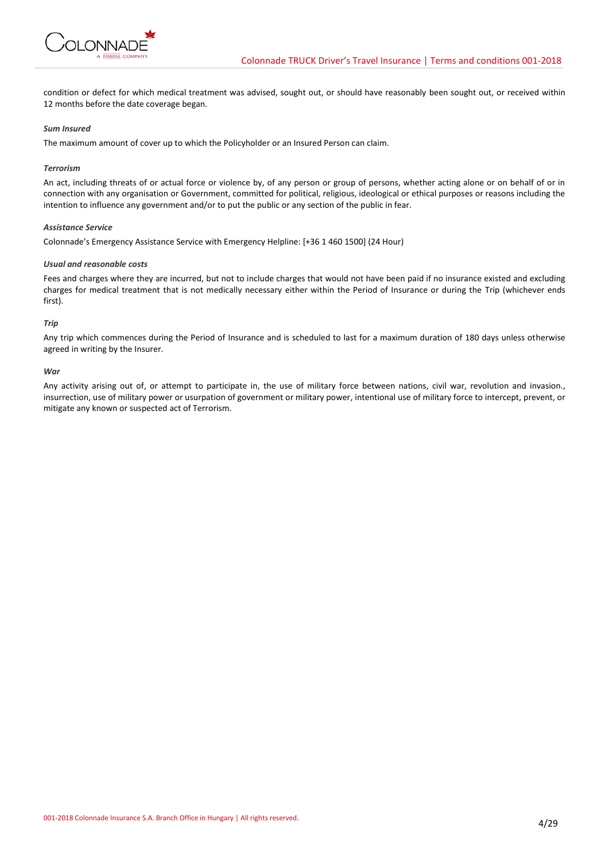

condition or defect for which medical treatment was advised, sought out, or should have reasonably been sought out, or received within 12 months before the date coverage began.

## *Sum Insured*

The maximum amount of cover up to which the Policyholder or an Insured Person can claim.

## *Terrorism*

An act, including threats of or actual force or violence by, of any person or group of persons, whether acting alone or on behalf of or in connection with any organisation or Government, committed for political, religious, ideological or ethical purposes or reasons including the intention to influence any government and/or to put the public or any section of the public in fear.

## *Assistance Service*

Colonnade's Emergency Assistance Service with Emergency Helpline: [+36 1 460 1500] (24 Hour)

## *Usual and reasonable costs*

Fees and charges where they are incurred, but not to include charges that would not have been paid if no insurance existed and excluding charges for medical treatment that is not medically necessary either within the Period of Insurance or during the Trip (whichever ends first).

## *Trip*

Any trip which commences during the Period of Insurance and is scheduled to last for a maximum duration of 180 days unless otherwise agreed in writing by the Insurer.

## *War*

Any activity arising out of, or attempt to participate in, the use of military force between nations, civil war, revolution and invasion., insurrection, use of military power or usurpation of government or military power, intentional use of military force to intercept, prevent, or mitigate any known or suspected act of Terrorism.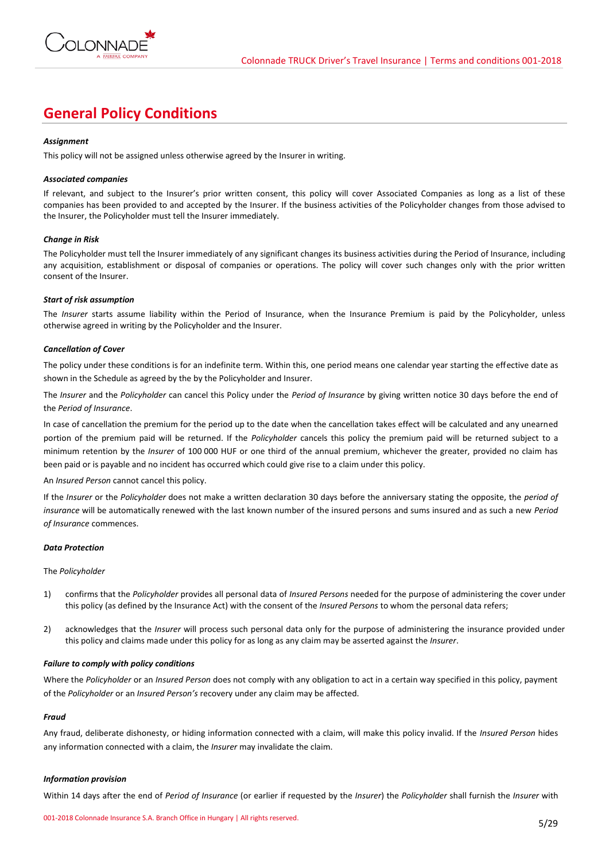

## **General Policy Conditions**

## *Assignment*

This policy will not be assigned unless otherwise agreed by the Insurer in writing.

## *Associated companies*

If relevant, and subject to the Insurer's prior written consent, this policy will cover Associated Companies as long as a list of these companies has been provided to and accepted by the Insurer. If the business activities of the Policyholder changes from those advised to the Insurer, the Policyholder must tell the Insurer immediately.

## *Change in Risk*

The Policyholder must tell the Insurer immediately of any significant changes its business activities during the Period of Insurance, including any acquisition, establishment or disposal of companies or operations. The policy will cover such changes only with the prior written consent of the Insurer.

#### *Start of risk assumption*

The *Insurer* starts assume liability within the Period of Insurance, when the Insurance Premium is paid by the Policyholder, unless otherwise agreed in writing by the Policyholder and the Insurer.

## *Cancellation of Cover*

The policy under these conditions is for an indefinite term. Within this, one period means one calendar year starting the effective date as shown in the Schedule as agreed by the by the Policyholder and Insurer.

The *Insurer* and the *Policyholder* can cancel this Policy under the *Period of Insurance* by giving written notice 30 days before the end of the *Period of Insurance*.

In case of cancellation the premium for the period up to the date when the cancellation takes effect will be calculated and any unearned portion of the premium paid will be returned. If the *Policyholder* cancels this policy the premium paid will be returned subject to a minimum retention by the *Insurer* of 100 000 HUF or one third of the annual premium, whichever the greater, provided no claim has been paid or is payable and no incident has occurred which could give rise to a claim under this policy.

#### An *Insured Person* cannot cancel this policy.

If the *Insurer* or the *Policyholder* does not make a written declaration 30 days before the anniversary stating the opposite, the *period of insurance* will be automatically renewed with the last known number of the insured persons and sums insured and as such a new *Period of Insurance* commences.

#### *Data Protection*

#### The *Policyholder*

- 1) confirms that the *Policyholder* provides all personal data of *Insured Persons* needed for the purpose of administering the cover under this policy (as defined by the Insurance Act) with the consent of the *Insured Persons* to whom the personal data refers;
- 2) acknowledges that the *Insurer* will process such personal data only for the purpose of administering the insurance provided under this policy and claims made under this policy for as long as any claim may be asserted against the *Insurer*.

#### *Failure to comply with policy conditions*

Where the *Policyholder* or an *Insured Person* does not comply with any obligation to act in a certain way specified in this policy, payment of the *Policyholder* or an *Insured Person's* recovery under any claim may be affected.

#### *Fraud*

Any fraud, deliberate dishonesty, or hiding information connected with a claim, will make this policy invalid. If the *Insured Person* hides any information connected with a claim, the *Insurer* may invalidate the claim.

#### *Information provision*

Within 14 days after the end of *Period of Insurance* (or earlier if requested by the *Insurer*) the *Policyholder* shall furnish the *Insurer* with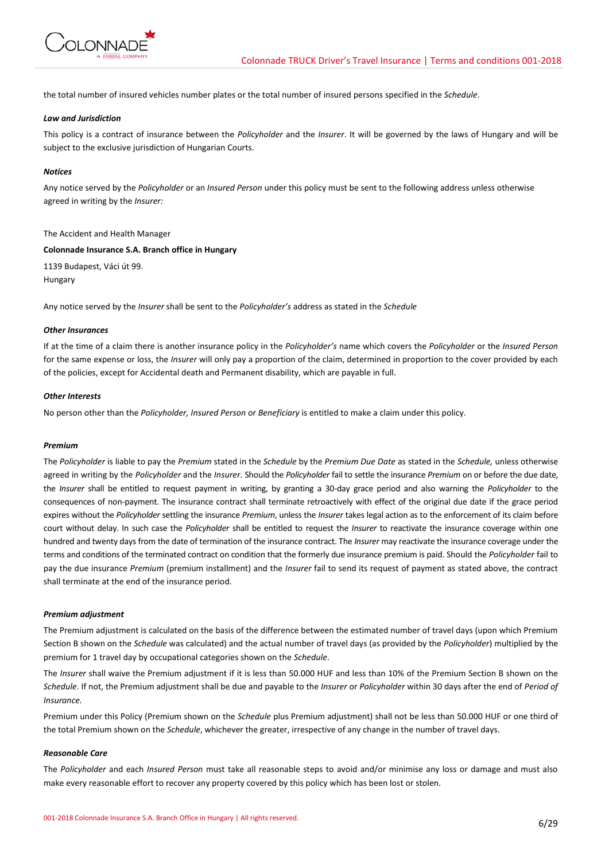

the total number of insured vehicles number plates or the total number of insured persons specified in the *Schedule*.

## *Law and Jurisdiction*

This policy is a contract of insurance between the *Policyholder* and the *Insurer*. It will be governed by the laws of Hungary and will be subject to the exclusive jurisdiction of Hungarian Courts.

## *Notices*

Any notice served by the *Policyholder* or an *Insured Person* under this policy must be sent to the following address unless otherwise agreed in writing by the *Insurer:*

#### The Accident and Health Manager

## **Colonnade Insurance S.A. Branch office in Hungary**

1139 Budapest, Váci út 99. Hungary

Any notice served by the *Insurer* shall be sent to the *Policyholder's* address as stated in the *Schedule*

## *Other Insurances*

If at the time of a claim there is another insurance policy in the *Policyholder's* name which covers the *Policyholder* or the *Insured Person* for the same expense or loss, the *Insurer* will only pay a proportion of the claim, determined in proportion to the cover provided by each of the policies, except for Accidental death and Permanent disability, which are payable in full.

## *Other Interests*

No person other than the *Policyholder, Insured Person* or *Beneficiary* is entitled to make a claim under this policy.

#### *Premium*

The *Policyholder* is liable to pay the *Premium* stated in the *Schedule* by the *Premium Due Date* as stated in the *Schedule,* unless otherwise agreed in writing by the *Policyholder* and the *Insurer*. Should the *Policyholder* fail to settle the insurance *Premium* on or before the due date, the *Insurer* shall be entitled to request payment in writing, by granting a 30-day grace period and also warning the *Policyholder* to the consequences of non-payment. The insurance contract shall terminate retroactively with effect of the original due date if the grace period expires without the *Policyholder* settling the insurance *Premium*, unless the *Insurer* takes legal action as to the enforcement of its claim before court without delay. In such case the *Policyholder* shall be entitled to request the *Insurer* to reactivate the insurance coverage within one hundred and twenty days from the date of termination of the insurance contract. The *Insurer* may reactivate the insurance coverage under the terms and conditions of the terminated contract on condition that the formerly due insurance premium is paid. Should the *Policyholder* fail to pay the due insurance *Premium* (premium installment) and the *Insurer* fail to send its request of payment as stated above, the contract shall terminate at the end of the insurance period.

## *Premium adjustment*

The Premium adjustment is calculated on the basis of the difference between the estimated number of travel days (upon which Premium Section B shown on the *Schedule* was calculated) and the actual number of travel days (as provided by the *Policyholder*) multiplied by the premium for 1 travel day by occupational categories shown on the *Schedule*.

The *Insurer* shall waive the Premium adjustment if it is less than 50.000 HUF and less than 10% of the Premium Section B shown on the *Schedule*. If not, the Premium adjustment shall be due and payable to the *Insurer* or *Policyholder* within 30 days after the end of *Period of Insurance.*

Premium under this Policy (Premium shown on the *Schedule* plus Premium adjustment) shall not be less than 50.000 HUF or one third of the total Premium shown on the *Schedule*, whichever the greater, irrespective of any change in the number of travel days.

#### *Reasonable Care*

The *Policyholder* and each *Insured Person* must take all reasonable steps to avoid and/or minimise any loss or damage and must also make every reasonable effort to recover any property covered by this policy which has been lost or stolen.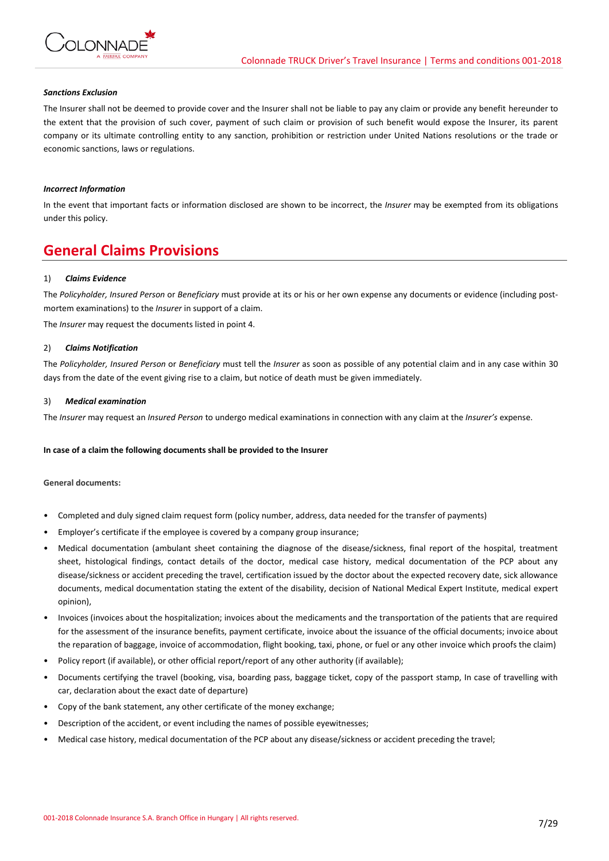

## *Sanctions Exclusion*

The Insurer shall not be deemed to provide cover and the Insurer shall not be liable to pay any claim or provide any benefit hereunder to the extent that the provision of such cover, payment of such claim or provision of such benefit would expose the Insurer, its parent company or its ultimate controlling entity to any sanction, prohibition or restriction under United Nations resolutions or the trade or economic sanctions, laws or regulations.

## *Incorrect Information*

In the event that important facts or information disclosed are shown to be incorrect, the *Insurer* may be exempted from its obligations under this policy.

## **General Claims Provisions**

#### 1) *Claims Evidence*

The *Policyholder, Insured Person* or *Beneficiary* must provide at its or his or her own expense any documents or evidence (including postmortem examinations) to the *Insurer* in support of a claim.

The *Insurer* may request the documents listed in point 4.

#### 2) *Claims Notification*

The *Policyholder, Insured Person* or *Beneficiary* must tell the *Insurer* as soon as possible of any potential claim and in any case within 30 days from the date of the event giving rise to a claim, but notice of death must be given immediately.

#### 3) *Medical examination*

The *Insurer* may request an *Insured Person* to undergo medical examinations in connection with any claim at the *Insurer's* expense.

#### **In case of a claim the following documents shall be provided to the Insurer**

#### **General documents:**

- Completed and duly signed claim request form (policy number, address, data needed for the transfer of payments)
- Employer's certificate if the employee is covered by a company group insurance;
- Medical documentation (ambulant sheet containing the diagnose of the disease/sickness, final report of the hospital, treatment sheet, histological findings, contact details of the doctor, medical case history, medical documentation of the PCP about any disease/sickness or accident preceding the travel, certification issued by the doctor about the expected recovery date, sick allowance documents, medical documentation stating the extent of the disability, decision of National Medical Expert Institute, medical expert opinion),
- Invoices (invoices about the hospitalization; invoices about the medicaments and the transportation of the patients that are required for the assessment of the insurance benefits, payment certificate, invoice about the issuance of the official documents; invoice about the reparation of baggage, invoice of accommodation, flight booking, taxi, phone, or fuel or any other invoice which proofs the claim)
- Policy report (if available), or other official report/report of any other authority (if available);
- Documents certifying the travel (booking, visa, boarding pass, baggage ticket, copy of the passport stamp, In case of travelling with car, declaration about the exact date of departure)
- Copy of the bank statement, any other certificate of the money exchange;
- Description of the accident, or event including the names of possible eyewitnesses;
- Medical case history, medical documentation of the PCP about any disease/sickness or accident preceding the travel;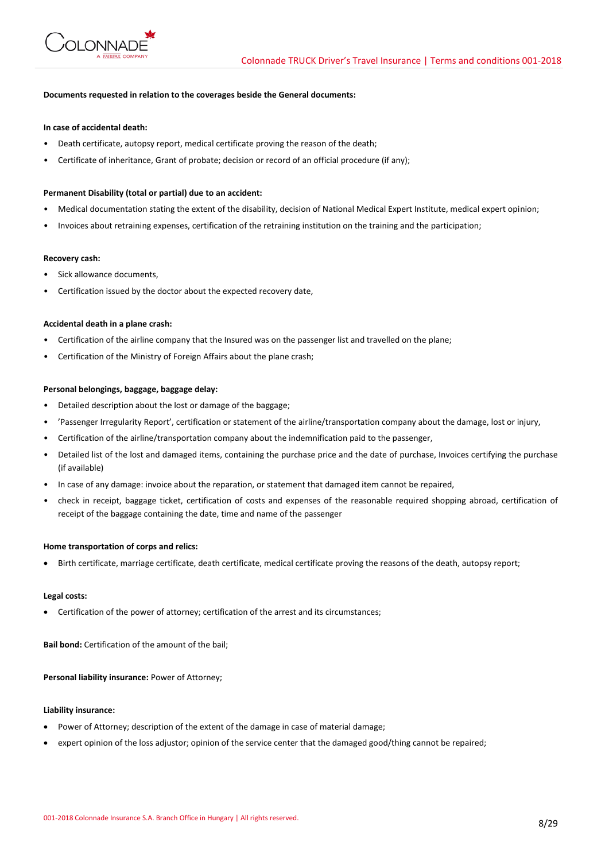

## **Documents requested in relation to the coverages beside the General documents:**

#### **In case of accidental death:**

- Death certificate, autopsy report, medical certificate proving the reason of the death;
- Certificate of inheritance, Grant of probate; decision or record of an official procedure (if any);

#### **Permanent Disability (total or partial) due to an accident:**

- Medical documentation stating the extent of the disability, decision of National Medical Expert Institute, medical expert opinion;
- Invoices about retraining expenses, certification of the retraining institution on the training and the participation;

#### **Recovery cash:**

- Sick allowance documents,
- Certification issued by the doctor about the expected recovery date,

#### **Accidental death in a plane crash:**

- Certification of the airline company that the Insured was on the passenger list and travelled on the plane;
- Certification of the Ministry of Foreign Affairs about the plane crash;

#### **Personal belongings, baggage, baggage delay:**

- Detailed description about the lost or damage of the baggage;
- 'Passenger Irregularity Report', certification or statement of the airline/transportation company about the damage, lost or injury,
- Certification of the airline/transportation company about the indemnification paid to the passenger,
- Detailed list of the lost and damaged items, containing the purchase price and the date of purchase, Invoices certifying the purchase (if available)
- In case of any damage: invoice about the reparation, or statement that damaged item cannot be repaired,
- check in receipt, baggage ticket, certification of costs and expenses of the reasonable required shopping abroad, certification of receipt of the baggage containing the date, time and name of the passenger

#### **Home transportation of corps and relics:**

• Birth certificate, marriage certificate, death certificate, medical certificate proving the reasons of the death, autopsy report;

#### **Legal costs:**

• Certification of the power of attorney; certification of the arrest and its circumstances;

**Bail bond:** Certification of the amount of the bail;

**Personal liability insurance:** Power of Attorney;

## **Liability insurance:**

- Power of Attorney; description of the extent of the damage in case of material damage;
- expert opinion of the loss adjustor; opinion of the service center that the damaged good/thing cannot be repaired;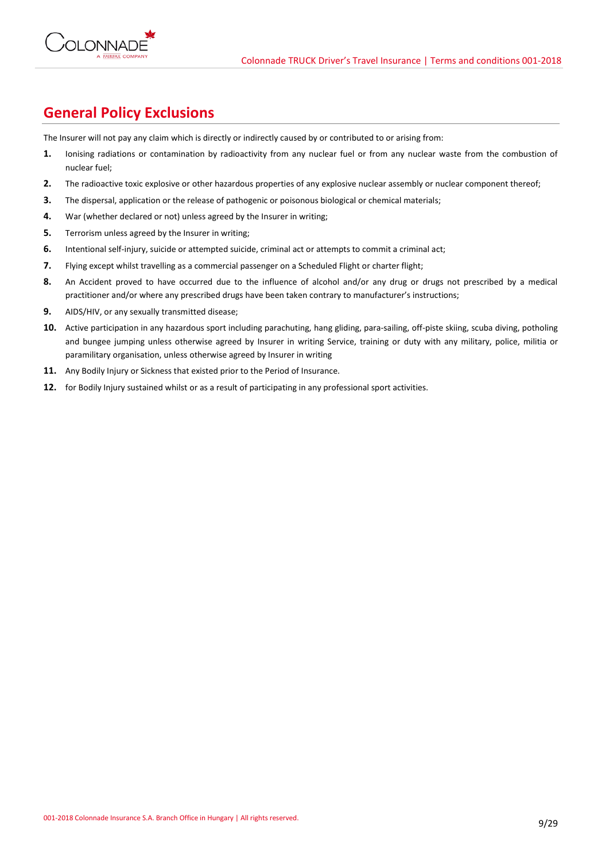

## **General Policy Exclusions**

The Insurer will not pay any claim which is directly or indirectly caused by or contributed to or arising from:

- **1.** Ionising radiations or contamination by radioactivity from any nuclear fuel or from any nuclear waste from the combustion of nuclear fuel;
- **2.** The radioactive toxic explosive or other hazardous properties of any explosive nuclear assembly or nuclear component thereof;
- **3.** The dispersal, application or the release of pathogenic or poisonous biological or chemical materials;
- **4.** War (whether declared or not) unless agreed by the Insurer in writing;
- **5.** Terrorism unless agreed by the Insurer in writing;
- **6.** Intentional self-injury, suicide or attempted suicide, criminal act or attempts to commit a criminal act;
- **7.** Flying except whilst travelling as a commercial passenger on a Scheduled Flight or charter flight;
- **8.** An Accident proved to have occurred due to the influence of alcohol and/or any drug or drugs not prescribed by a medical practitioner and/or where any prescribed drugs have been taken contrary to manufacturer's instructions;
- **9.** AIDS/HIV, or any sexually transmitted disease;
- 10. Active participation in any hazardous sport including parachuting, hang gliding, para-sailing, off-piste skiing, scuba diving, potholing and bungee jumping unless otherwise agreed by Insurer in writing Service, training or duty with any military, police, militia or paramilitary organisation, unless otherwise agreed by Insurer in writing
- **11.** Any Bodily Injury or Sickness that existed prior to the Period of Insurance.
- **12.** for Bodily Injury sustained whilst or as a result of participating in any professional sport activities.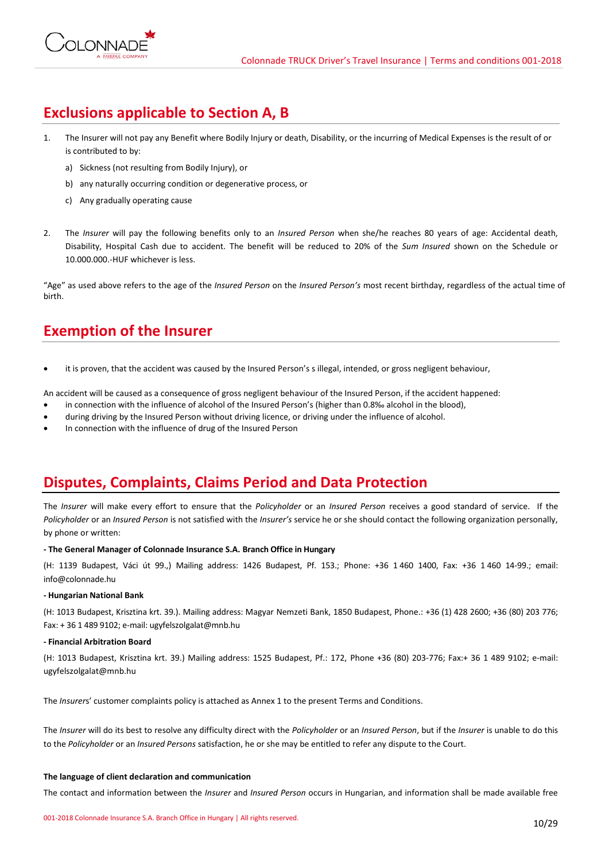# **Exclusions applicable to Section A, B**

- 1. The Insurer will not pay any Benefit where Bodily Injury or death, Disability, or the incurring of Medical Expenses is the result of or is contributed to by:
	- a) Sickness (not resulting from Bodily Injury), or
	- b) any naturally occurring condition or degenerative process, or
	- c) Any gradually operating cause
- 2. The *Insurer* will pay the following benefits only to an *Insured Person* when she/he reaches 80 years of age: Accidental death, Disability, Hospital Cash due to accident. The benefit will be reduced to 20% of the *Sum Insured* shown on the Schedule or 10.000.000.-HUF whichever is less.

"Age" as used above refers to the age of the *Insured Person* on the *Insured Person's* most recent birthday, regardless of the actual time of birth.

## **Exemption of the Insurer**

it is proven, that the accident was caused by the Insured Person's s illegal, intended, or gross negligent behaviour,

An accident will be caused as a consequence of gross negligent behaviour of the Insured Person, if the accident happened:

- in connection with the influence of alcohol of the Insured Person's (higher than 0.8‰ alcohol in the blood),
- during driving by the Insured Person without driving licence, or driving under the influence of alcohol.
- In connection with the influence of drug of the Insured Person

## **Disputes, Complaints, Claims Period and Data Protection**

The *Insurer* will make every effort to ensure that the *Policyholder* or an *Insured Person* receives a good standard of service. If the *Policyholder* or an *Insured Person* is not satisfied with the *Insurer's* service he or she should contact the following organization personally, by phone or written:

## **- The General Manager of Colonnade Insurance S.A. Branch Office in Hungary**

(H: 1139 Budapest, Váci út 99.,) Mailing address: 1426 Budapest, Pf. 153.; Phone: +36 1 460 1400, Fax: +36 1 460 14-99.; email: info@colonnade.hu

## **- Hungarian National Bank**

(H: 1013 Budapest, Krisztina krt. 39.). Mailing address: Magyar Nemzeti Bank, 1850 Budapest, Phone.: +36 (1) 428 2600; +36 (80) 203 776; Fax: + 36 1 489 9102; e-mail: ugyfelszolgalat@mnb.hu

## **- Financial Arbitration Board**

(H: 1013 Budapest, Krisztina krt. 39.) Mailing address: 1525 Budapest, Pf.: 172, Phone +36 (80) 203-776; Fax:+ 36 1 489 9102; e-mail: ugyfelszolgalat@mnb.hu

The *Insurer*s' customer complaints policy is attached as Annex 1 to the present Terms and Conditions.

The *Insurer* will do its best to resolve any difficulty direct with the *Policyholder* or an *Insured Person*, but if the *Insurer* is unable to do this to the *Policyholder* or an *Insured Persons* satisfaction, he or she may be entitled to refer any dispute to the Court.

## **The language of client declaration and communication**

The contact and information between the *Insurer* and *Insured Person* occurs in Hungarian, and information shall be made available free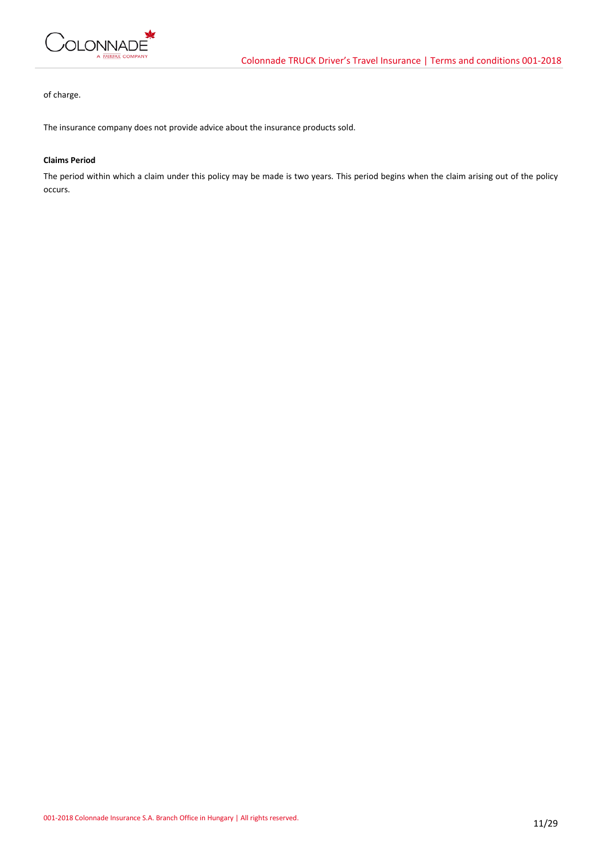

of charge.

The insurance company does not provide advice about the insurance products sold.

## **Claims Period**

The period within which a claim under this policy may be made is two years. This period begins when the claim arising out of the policy occurs.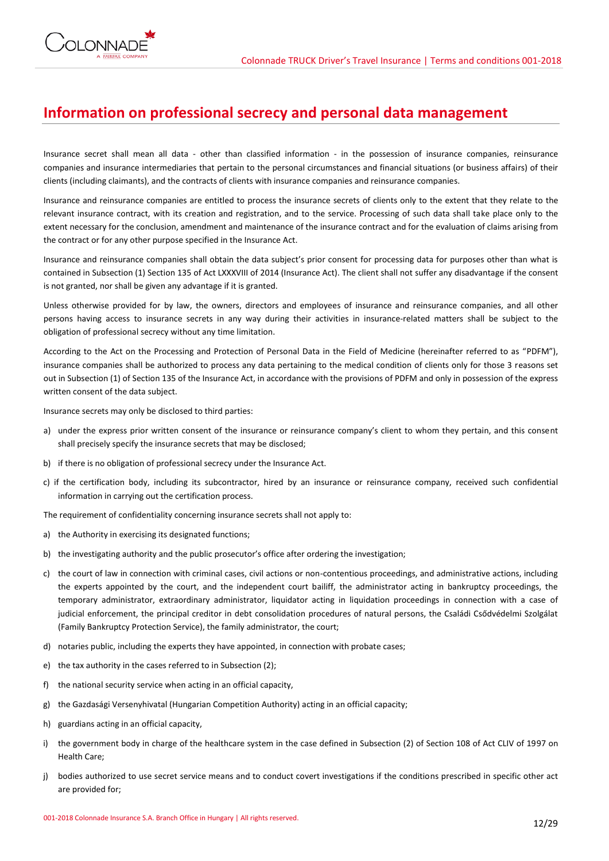

## **Information on professional secrecy and personal data management**

Insurance secret shall mean all data - other than classified information - in the possession of insurance companies, reinsurance companies and insurance intermediaries that pertain to the personal circumstances and financial situations (or business affairs) of their clients (including claimants), and the contracts of clients with insurance companies and reinsurance companies.

Insurance and reinsurance companies are entitled to process the insurance secrets of clients only to the extent that they relate to the relevant insurance contract, with its creation and registration, and to the service. Processing of such data shall take place only to the extent necessary for the conclusion, amendment and maintenance of the insurance contract and for the evaluation of claims arising from the contract or for any other purpose specified in the Insurance Act.

Insurance and reinsurance companies shall obtain the data subject's prior consent for processing data for purposes other than what is contained in Subsection (1) Section 135 of Act LXXXVIII of 2014 (Insurance Act). The client shall not suffer any disadvantage if the consent is not granted, nor shall be given any advantage if it is granted.

Unless otherwise provided for by law, the owners, directors and employees of insurance and reinsurance companies, and all other persons having access to insurance secrets in any way during their activities in insurance-related matters shall be subject to the obligation of professional secrecy without any time limitation.

According to the Act on the Processing and Protection of Personal Data in the Field of Medicine (hereinafter referred to as "PDFM"), insurance companies shall be authorized to process any data pertaining to the medical condition of clients only for those 3 reasons set out in Subsection (1) of Section 135 of the Insurance Act, in accordance with the provisions of PDFM and only in possession of the express written consent of the data subject.

Insurance secrets may only be disclosed to third parties:

- a) under the express prior written consent of the insurance or reinsurance company's client to whom they pertain, and this consent shall precisely specify the insurance secrets that may be disclosed;
- b) if there is no obligation of professional secrecy under the Insurance Act.
- c) if the certification body, including its subcontractor, hired by an insurance or reinsurance company, received such confidential information in carrying out the certification process.

The requirement of confidentiality concerning insurance secrets shall not apply to:

- a) the Authority in exercising its designated functions;
- b) the investigating authority and the public prosecutor's office after ordering the investigation;
- c) the court of law in connection with criminal cases, civil actions or non-contentious proceedings, and administrative actions, including the experts appointed by the court, and the independent court bailiff, the administrator acting in bankruptcy proceedings, the temporary administrator, extraordinary administrator, liquidator acting in liquidation proceedings in connection with a case of judicial enforcement, the principal creditor in debt consolidation procedures of natural persons, the Családi Csődvédelmi Szolgálat (Family Bankruptcy Protection Service), the family administrator, the court;
- d) notaries public, including the experts they have appointed, in connection with probate cases;
- e) the tax authority in the cases referred to in Subsection (2);
- f) the national security service when acting in an official capacity,
- g) the Gazdasági Versenyhivatal (Hungarian Competition Authority) acting in an official capacity;
- h) guardians acting in an official capacity,
- i) the government body in charge of the healthcare system in the case defined in Subsection (2) of Section 108 of Act CLIV of 1997 on Health Care;
- j) bodies authorized to use secret service means and to conduct covert investigations if the conditions prescribed in specific other act are provided for;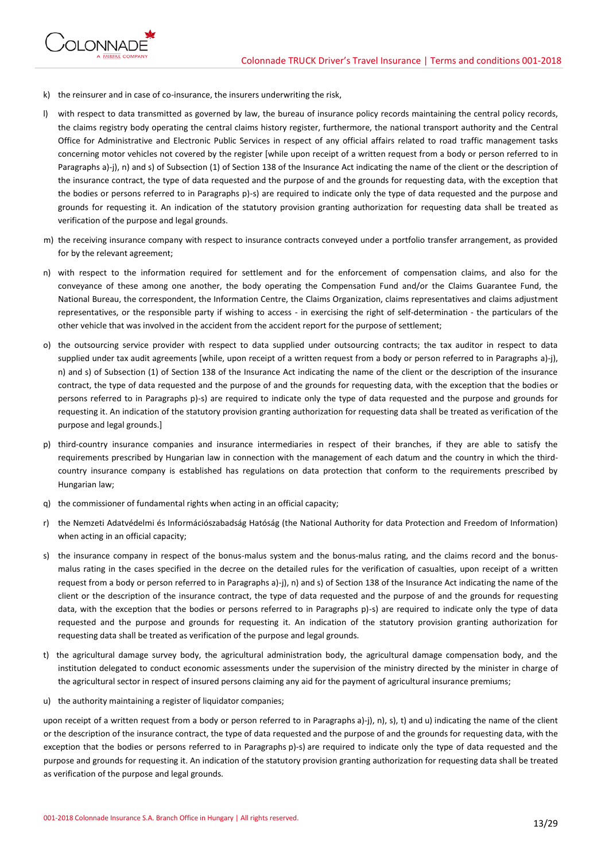

- k) the reinsurer and in case of co-insurance, the insurers underwriting the risk,
- l) with respect to data transmitted as governed by law, the bureau of insurance policy records maintaining the central policy records, the claims registry body operating the central claims history register, furthermore, the national transport authority and the Central Office for Administrative and Electronic Public Services in respect of any official affairs related to road traffic management tasks concerning motor vehicles not covered by the register [while upon receipt of a written request from a body or person referred to in Paragraphs a)-j), n) and s) of Subsection (1) of Section 138 of the Insurance Act indicating the name of the client or the description of the insurance contract, the type of data requested and the purpose of and the grounds for requesting data, with the exception that the bodies or persons referred to in Paragraphs p)-s) are required to indicate only the type of data requested and the purpose and grounds for requesting it. An indication of the statutory provision granting authorization for requesting data shall be treated as verification of the purpose and legal grounds.
- m) the receiving insurance company with respect to insurance contracts conveyed under a portfolio transfer arrangement, as provided for by the relevant agreement;
- n) with respect to the information required for settlement and for the enforcement of compensation claims, and also for the conveyance of these among one another, the body operating the Compensation Fund and/or the Claims Guarantee Fund, the National Bureau, the correspondent, the Information Centre, the Claims Organization, claims representatives and claims adjustment representatives, or the responsible party if wishing to access - in exercising the right of self-determination - the particulars of the other vehicle that was involved in the accident from the accident report for the purpose of settlement;
- o) the outsourcing service provider with respect to data supplied under outsourcing contracts; the tax auditor in respect to data supplied under tax audit agreements [while, upon receipt of a written request from a body or person referred to in Paragraphs a)-j), n) and s) of Subsection (1) of Section 138 of the Insurance Act indicating the name of the client or the description of the insurance contract, the type of data requested and the purpose of and the grounds for requesting data, with the exception that the bodies or persons referred to in Paragraphs p)-s) are required to indicate only the type of data requested and the purpose and grounds for requesting it. An indication of the statutory provision granting authorization for requesting data shall be treated as verification of the purpose and legal grounds.]
- p) third-country insurance companies and insurance intermediaries in respect of their branches, if they are able to satisfy the requirements prescribed by Hungarian law in connection with the management of each datum and the country in which the thirdcountry insurance company is established has regulations on data protection that conform to the requirements prescribed by Hungarian law;
- q) the commissioner of fundamental rights when acting in an official capacity;
- r) the Nemzeti Adatvédelmi és Információszabadság Hatóság (the National Authority for data Protection and Freedom of Information) when acting in an official capacity;
- s) the insurance company in respect of the bonus-malus system and the bonus-malus rating, and the claims record and the bonusmalus rating in the cases specified in the decree on the detailed rules for the verification of casualties, upon receipt of a written request from a body or person referred to in Paragraphs a)-j), n) and s) of Section 138 of the Insurance Act indicating the name of the client or the description of the insurance contract, the type of data requested and the purpose of and the grounds for requesting data, with the exception that the bodies or persons referred to in Paragraphs p)-s) are required to indicate only the type of data requested and the purpose and grounds for requesting it. An indication of the statutory provision granting authorization for requesting data shall be treated as verification of the purpose and legal grounds.
- t) the agricultural damage survey body, the agricultural administration body, the agricultural damage compensation body, and the institution delegated to conduct economic assessments under the supervision of the ministry directed by the minister in charge of the agricultural sector in respect of insured persons claiming any aid for the payment of agricultural insurance premiums;
- u) the authority maintaining a register of liquidator companies;

upon receipt of a written request from a body or person referred to in Paragraphs a)-j), n), s), t) and u) indicating the name of the client or the description of the insurance contract, the type of data requested and the purpose of and the grounds for requesting data, with the exception that the bodies or persons referred to in Paragraphs p)-s) are required to indicate only the type of data requested and the purpose and grounds for requesting it. An indication of the statutory provision granting authorization for requesting data shall be treated as verification of the purpose and legal grounds.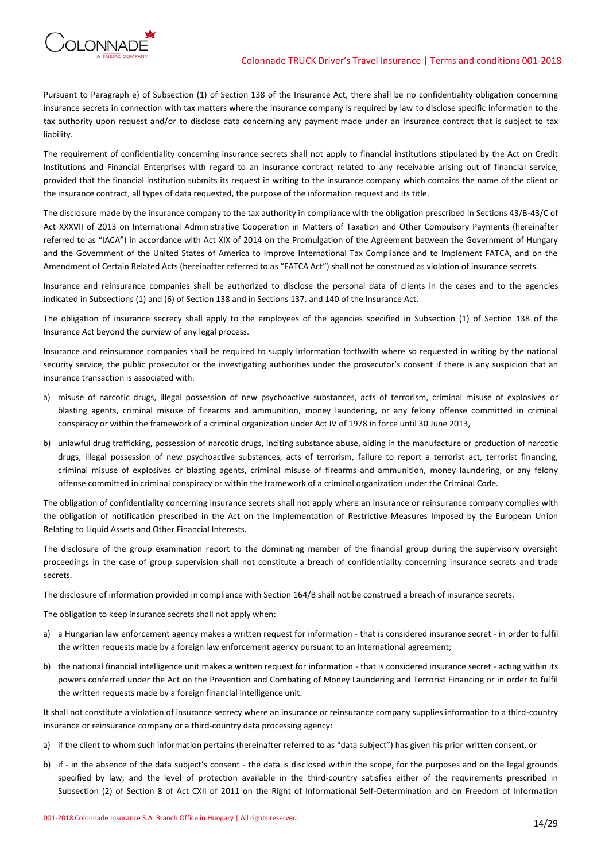

Pursuant to Paragraph e) of Subsection (1) of Section 138 of the Insurance Act, there shall be no confidentiality obligation concerning insurance secrets in connection with tax matters where the insurance company is required by law to disclose specific information to the tax authority upon request and/or to disclose data concerning any payment made under an insurance contract that is subject to tax liability.

The requirement of confidentiality concerning insurance secrets shall not apply to financial institutions stipulated by the Act on Credit Institutions and Financial Enterprises with regard to an insurance contract related to any receivable arising out of financial service, provided that the financial institution submits its request in writing to the insurance company which contains the name of the client or the insurance contract, all types of data requested, the purpose of the information request and its title.

The disclosure made by the insurance company to the tax authority in compliance with the obligation prescribed in Sections 43/B-43/C of Act XXXVII of 2013 on International Administrative Cooperation in Matters of Taxation and Other Compulsory Payments (hereinafter referred to as "IACA") in accordance with Act XIX of 2014 on the Promulgation of the Agreement between the Government of Hungary and the Government of the United States of America to Improve International Tax Compliance and to Implement FATCA, and on the Amendment of Certain Related Acts (hereinafter referred to as "FATCA Act") shall not be construed as violation of insurance secrets.

Insurance and reinsurance companies shall be authorized to disclose the personal data of clients in the cases and to the agencies indicated in Subsections (1) and (6) of Section 138 and in Sections 137, and 140 of the Insurance Act.

The obligation of insurance secrecy shall apply to the employees of the agencies specified in Subsection (1) of Section 138 of the Insurance Act beyond the purview of any legal process.

Insurance and reinsurance companies shall be required to supply information forthwith where so requested in writing by the national security service, the public prosecutor or the investigating authorities under the prosecutor's consent if there is any suspicion that an insurance transaction is associated with:

- a) misuse of narcotic drugs, illegal possession of new psychoactive substances, acts of terrorism, criminal misuse of explosives or blasting agents, criminal misuse of firearms and ammunition, money laundering, or any felony offense committed in criminal conspiracy or within the framework of a criminal organization under Act IV of 1978 in force until 30 June 2013,
- b) unlawful drug trafficking, possession of narcotic drugs, inciting substance abuse, aiding in the manufacture or production of narcotic drugs, illegal possession of new psychoactive substances, acts of terrorism, failure to report a terrorist act, terrorist financing, criminal misuse of explosives or blasting agents, criminal misuse of firearms and ammunition, money laundering, or any felony offense committed in criminal conspiracy or within the framework of a criminal organization under the Criminal Code.

The obligation of confidentiality concerning insurance secrets shall not apply where an insurance or reinsurance company complies with the obligation of notification prescribed in the Act on the Implementation of Restrictive Measures Imposed by the European Union Relating to Liquid Assets and Other Financial Interests.

The disclosure of the group examination report to the dominating member of the financial group during the supervisory oversight proceedings in the case of group supervision shall not constitute a breach of confidentiality concerning insurance secrets and trade secrets.

The disclosure of information provided in compliance with Section 164/B shall not be construed a breach of insurance secrets.

The obligation to keep insurance secrets shall not apply when:

- a) a Hungarian law enforcement agency makes a written request for information that is considered insurance secret in order to fulfil the written requests made by a foreign law enforcement agency pursuant to an international agreement;
- b) the national financial intelligence unit makes a written request for information that is considered insurance secret acting within its powers conferred under the Act on the Prevention and Combating of Money Laundering and Terrorist Financing or in order to fulfil the written requests made by a foreign financial intelligence unit.

It shall not constitute a violation of insurance secrecy where an insurance or reinsurance company supplies information to a third-country insurance or reinsurance company or a third-country data processing agency:

- a) if the client to whom such information pertains (hereinafter referred to as "data subject") has given his prior written consent, or
- b) if in the absence of the data subject's consent the data is disclosed within the scope, for the purposes and on the legal grounds specified by law, and the level of protection available in the third-country satisfies either of the requirements prescribed in Subsection (2) of Section 8 of Act CXII of 2011 on the Right of Informational Self-Determination and on Freedom of Information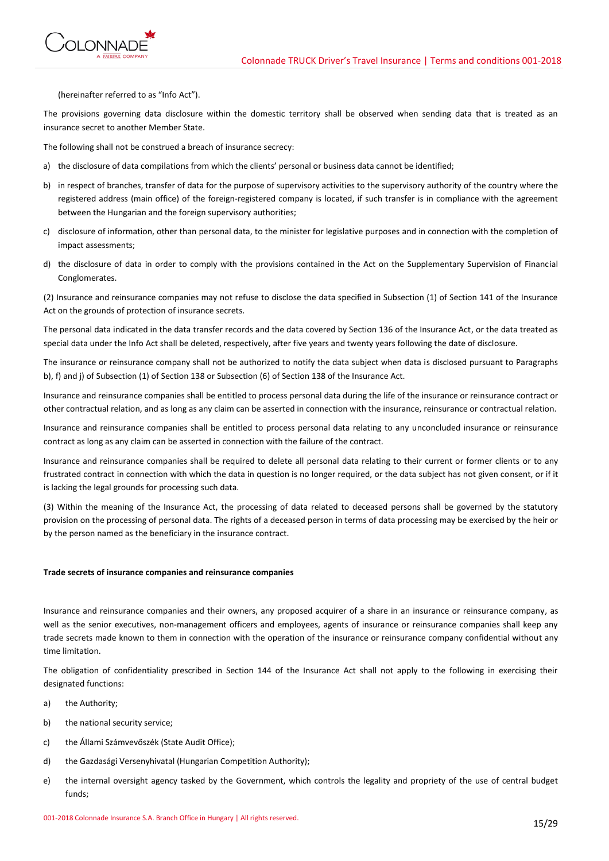

(hereinafter referred to as "Info Act").

The provisions governing data disclosure within the domestic territory shall be observed when sending data that is treated as an insurance secret to another Member State.

The following shall not be construed a breach of insurance secrecy:

- a) the disclosure of data compilations from which the clients' personal or business data cannot be identified;
- b) in respect of branches, transfer of data for the purpose of supervisory activities to the supervisory authority of the country where the registered address (main office) of the foreign-registered company is located, if such transfer is in compliance with the agreement between the Hungarian and the foreign supervisory authorities;
- c) disclosure of information, other than personal data, to the minister for legislative purposes and in connection with the completion of impact assessments;
- d) the disclosure of data in order to comply with the provisions contained in the Act on the Supplementary Supervision of Financial Conglomerates.

(2) Insurance and reinsurance companies may not refuse to disclose the data specified in Subsection (1) of Section 141 of the Insurance Act on the grounds of protection of insurance secrets.

The personal data indicated in the data transfer records and the data covered by Section 136 of the Insurance Act, or the data treated as special data under the Info Act shall be deleted, respectively, after five years and twenty years following the date of disclosure.

The insurance or reinsurance company shall not be authorized to notify the data subject when data is disclosed pursuant to Paragraphs b), f) and j) of Subsection (1) of Section 138 or Subsection (6) of Section 138 of the Insurance Act.

Insurance and reinsurance companies shall be entitled to process personal data during the life of the insurance or reinsurance contract or other contractual relation, and as long as any claim can be asserted in connection with the insurance, reinsurance or contractual relation.

Insurance and reinsurance companies shall be entitled to process personal data relating to any unconcluded insurance or reinsurance contract as long as any claim can be asserted in connection with the failure of the contract.

Insurance and reinsurance companies shall be required to delete all personal data relating to their current or former clients or to any frustrated contract in connection with which the data in question is no longer required, or the data subject has not given consent, or if it is lacking the legal grounds for processing such data.

(3) Within the meaning of the Insurance Act, the processing of data related to deceased persons shall be governed by the statutory provision on the processing of personal data. The rights of a deceased person in terms of data processing may be exercised by the heir or by the person named as the beneficiary in the insurance contract.

#### **Trade secrets of insurance companies and reinsurance companies**

Insurance and reinsurance companies and their owners, any proposed acquirer of a share in an insurance or reinsurance company, as well as the senior executives, non-management officers and employees, agents of insurance or reinsurance companies shall keep any trade secrets made known to them in connection with the operation of the insurance or reinsurance company confidential without any time limitation.

The obligation of confidentiality prescribed in Section 144 of the Insurance Act shall not apply to the following in exercising their designated functions:

- a) the Authority;
- b) the national security service;
- c) the Állami Számvevőszék (State Audit Office);
- d) the Gazdasági Versenyhivatal (Hungarian Competition Authority);
- e) the internal oversight agency tasked by the Government, which controls the legality and propriety of the use of central budget funds;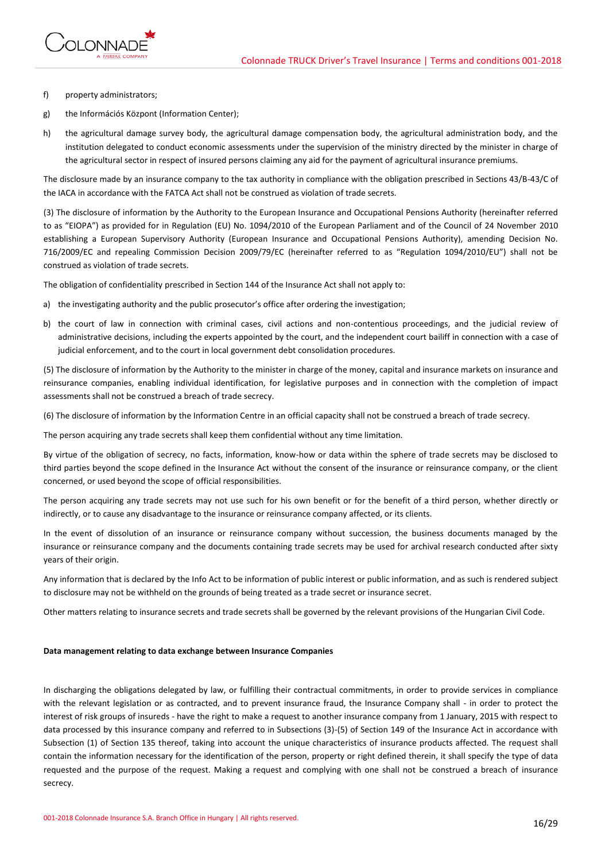

- f) property administrators;
- g) the Információs Központ (Information Center);
- h) the agricultural damage survey body, the agricultural damage compensation body, the agricultural administration body, and the institution delegated to conduct economic assessments under the supervision of the ministry directed by the minister in charge of the agricultural sector in respect of insured persons claiming any aid for the payment of agricultural insurance premiums.

The disclosure made by an insurance company to the tax authority in compliance with the obligation prescribed in Sections 43/B-43/C of the IACA in accordance with the FATCA Act shall not be construed as violation of trade secrets.

(3) The disclosure of information by the Authority to the European Insurance and Occupational Pensions Authority (hereinafter referred to as "EIOPA") as provided for in Regulation (EU) No. 1094/2010 of the European Parliament and of the Council of 24 November 2010 establishing a European Supervisory Authority (European Insurance and Occupational Pensions Authority), amending Decision No. 716/2009/EC and repealing Commission Decision 2009/79/EC (hereinafter referred to as "Regulation 1094/2010/EU") shall not be construed as violation of trade secrets.

The obligation of confidentiality prescribed in Section 144 of the Insurance Act shall not apply to:

- a) the investigating authority and the public prosecutor's office after ordering the investigation;
- b) the court of law in connection with criminal cases, civil actions and non-contentious proceedings, and the judicial review of administrative decisions, including the experts appointed by the court, and the independent court bailiff in connection with a case of judicial enforcement, and to the court in local government debt consolidation procedures.

(5) The disclosure of information by the Authority to the minister in charge of the money, capital and insurance markets on insurance and reinsurance companies, enabling individual identification, for legislative purposes and in connection with the completion of impact assessments shall not be construed a breach of trade secrecy.

(6) The disclosure of information by the Information Centre in an official capacity shall not be construed a breach of trade secrecy.

The person acquiring any trade secrets shall keep them confidential without any time limitation.

By virtue of the obligation of secrecy, no facts, information, know-how or data within the sphere of trade secrets may be disclosed to third parties beyond the scope defined in the Insurance Act without the consent of the insurance or reinsurance company, or the client concerned, or used beyond the scope of official responsibilities.

The person acquiring any trade secrets may not use such for his own benefit or for the benefit of a third person, whether directly or indirectly, or to cause any disadvantage to the insurance or reinsurance company affected, or its clients.

In the event of dissolution of an insurance or reinsurance company without succession, the business documents managed by the insurance or reinsurance company and the documents containing trade secrets may be used for archival research conducted after sixty years of their origin.

Any information that is declared by the Info Act to be information of public interest or public information, and as such is rendered subject to disclosure may not be withheld on the grounds of being treated as a trade secret or insurance secret.

Other matters relating to insurance secrets and trade secrets shall be governed by the relevant provisions of the Hungarian Civil Code.

#### **Data management relating to data exchange between Insurance Companies**

In discharging the obligations delegated by law, or fulfilling their contractual commitments, in order to provide services in compliance with the relevant legislation or as contracted, and to prevent insurance fraud, the Insurance Company shall - in order to protect the interest of risk groups of insureds - have the right to make a request to another insurance company from 1 January, 2015 with respect to data processed by this insurance company and referred to in Subsections (3)-(5) of Section 149 of the Insurance Act in accordance with Subsection (1) of Section 135 thereof, taking into account the unique characteristics of insurance products affected. The request shall contain the information necessary for the identification of the person, property or right defined therein, it shall specify the type of data requested and the purpose of the request. Making a request and complying with one shall not be construed a breach of insurance secrecy.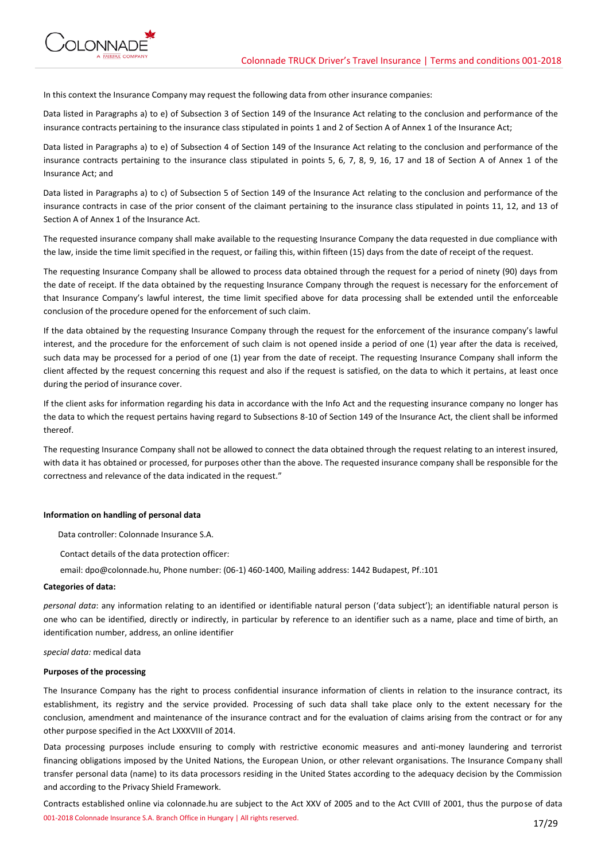

In this context the Insurance Company may request the following data from other insurance companies:

Data listed in Paragraphs a) to e) of Subsection 3 of Section 149 of the Insurance Act relating to the conclusion and performance of the insurance contracts pertaining to the insurance class stipulated in points 1 and 2 of Section A of Annex 1 of the Insurance Act;

Data listed in Paragraphs a) to e) of Subsection 4 of Section 149 of the Insurance Act relating to the conclusion and performance of the insurance contracts pertaining to the insurance class stipulated in points 5, 6, 7, 8, 9, 16, 17 and 18 of Section A of Annex 1 of the Insurance Act; and

Data listed in Paragraphs a) to c) of Subsection 5 of Section 149 of the Insurance Act relating to the conclusion and performance of the insurance contracts in case of the prior consent of the claimant pertaining to the insurance class stipulated in points 11, 12, and 13 of Section A of Annex 1 of the Insurance Act.

The requested insurance company shall make available to the requesting Insurance Company the data requested in due compliance with the law, inside the time limit specified in the request, or failing this, within fifteen (15) days from the date of receipt of the request.

The requesting Insurance Company shall be allowed to process data obtained through the request for a period of ninety (90) days from the date of receipt. If the data obtained by the requesting Insurance Company through the request is necessary for the enforcement of that Insurance Company's lawful interest, the time limit specified above for data processing shall be extended until the enforceable conclusion of the procedure opened for the enforcement of such claim.

If the data obtained by the requesting Insurance Company through the request for the enforcement of the insurance company's lawful interest, and the procedure for the enforcement of such claim is not opened inside a period of one (1) year after the data is received, such data may be processed for a period of one (1) year from the date of receipt. The requesting Insurance Company shall inform the client affected by the request concerning this request and also if the request is satisfied, on the data to which it pertains, at least once during the period of insurance cover.

If the client asks for information regarding his data in accordance with the Info Act and the requesting insurance company no longer has the data to which the request pertains having regard to Subsections 8-10 of Section 149 of the Insurance Act, the client shall be informed thereof.

The requesting Insurance Company shall not be allowed to connect the data obtained through the request relating to an interest insured, with data it has obtained or processed, for purposes other than the above. The requested insurance company shall be responsible for the correctness and relevance of the data indicated in the request."

## **Information on handling of personal data**

Data controller: Colonnade Insurance S.A.

Contact details of the data protection officer:

email: dpo@colonnade.hu, Phone number: (06-1) 460-1400, Mailing address: 1442 Budapest, Pf.:101

## **Categories of data:**

*personal data*: any information relating to an identified or identifiable natural person ('data subject'); an identifiable natural person is one who can be identified, directly or indirectly, in particular by reference to an identifier such as a name, place and time of birth, an identification number, address, an online identifier

*special data:* medical data

#### **Purposes of the processing**

The Insurance Company has the right to process confidential insurance information of clients in relation to the insurance contract, its establishment, its registry and the service provided. Processing of such data shall take place only to the extent necessary for the conclusion, amendment and maintenance of the insurance contract and for the evaluation of claims arising from the contract or for any other purpose specified in the Act LXXXVIII of 2014.

Data processing purposes include ensuring to comply with restrictive economic measures and anti-money laundering and terrorist financing obligations imposed by the United Nations, the European Union, or other relevant organisations. The Insurance Company shall transfer personal data (name) to its data processors residing in the United States according to the adequacy decision by the Commission and according to the Privacy Shield Framework.

001-2018 Colonnade Insurance S.A. Branch Office in Hungary | All rights reserved. 17/29 Contracts established online via colonnade.hu are subject to the Act XXV of 2005 and to the Act CVIII of 2001, thus the purpose of data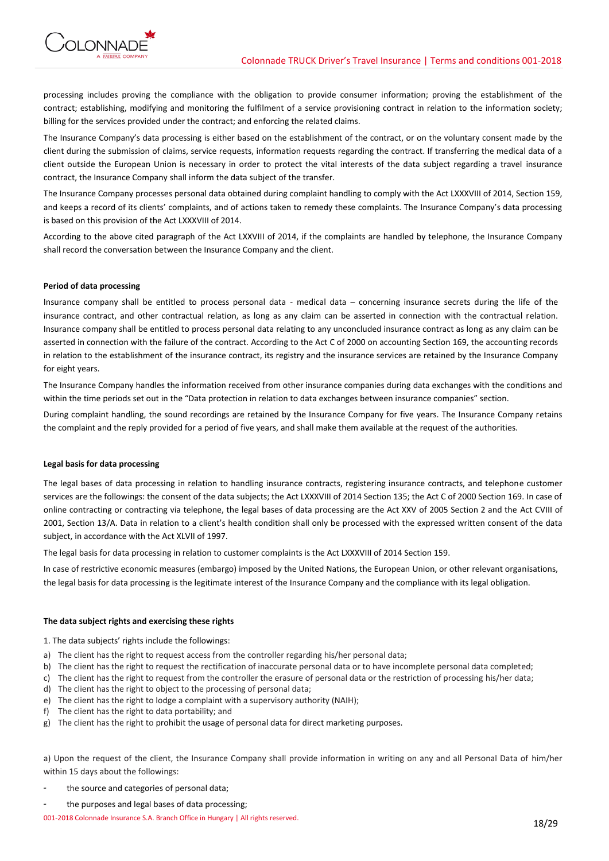

processing includes proving the compliance with the obligation to provide consumer information; proving the establishment of the contract; establishing, modifying and monitoring the fulfilment of a service provisioning contract in relation to the information society; billing for the services provided under the contract; and enforcing the related claims.

The Insurance Company's data processing is either based on the establishment of the contract, or on the voluntary consent made by the client during the submission of claims, service requests, information requests regarding the contract. If transferring the medical data of a client outside the European Union is necessary in order to protect the vital interests of the data subject regarding a travel insurance contract, the Insurance Company shall inform the data subject of the transfer.

The Insurance Company processes personal data obtained during complaint handling to comply with the Act LXXXVIII of 2014, Section 159, and keeps a record of its clients' complaints, and of actions taken to remedy these complaints. The Insurance Company's data processing is based on this provision of the Act LXXXVIII of 2014.

According to the above cited paragraph of the Act LXXVIII of 2014, if the complaints are handled by telephone, the Insurance Company shall record the conversation between the Insurance Company and the client.

## **Period of data processing**

Insurance company shall be entitled to process personal data - medical data – concerning insurance secrets during the life of the insurance contract, and other contractual relation, as long as any claim can be asserted in connection with the contractual relation. Insurance company shall be entitled to process personal data relating to any unconcluded insurance contract as long as any claim can be asserted in connection with the failure of the contract. According to the Act C of 2000 on accounting Section 169, the accounting records in relation to the establishment of the insurance contract, its registry and the insurance services are retained by the Insurance Company for eight years.

The Insurance Company handles the information received from other insurance companies during data exchanges with the conditions and within the time periods set out in the "Data protection in relation to data exchanges between insurance companies" section.

During complaint handling, the sound recordings are retained by the Insurance Company for five years. The Insurance Company retains the complaint and the reply provided for a period of five years, and shall make them available at the request of the authorities.

## **Legal basis for data processing**

The legal bases of data processing in relation to handling insurance contracts, registering insurance contracts, and telephone customer services are the followings: the consent of the data subjects; the Act LXXXVIII of 2014 Section 135; the Act C of 2000 Section 169. In case of online contracting or contracting via telephone, the legal bases of data processing are the Act XXV of 2005 Section 2 and the Act CVIII of 2001, Section 13/A. Data in relation to a client's health condition shall only be processed with the expressed written consent of the data subject, in accordance with the Act XLVII of 1997.

The legal basis for data processing in relation to customer complaints is the Act LXXXVIII of 2014 Section 159.

In case of restrictive economic measures (embargo) imposed by the United Nations, the European Union, or other relevant organisations, the legal basis for data processing is the legitimate interest of the Insurance Company and the compliance with its legal obligation.

## **The data subject rights and exercising these rights**

1. The data subjects' rights include the followings:

- a) The client has the right to request access from the controller regarding his/her personal data;
- b) The client has the right to request the rectification of inaccurate personal data or to have incomplete personal data completed;
- c) The client has the right to request from the controller the erasure of personal data or the restriction of processing his/her data;
- d) The client has the right to object to the processing of personal data;
- e) The client has the right to lodge a complaint with a supervisory authority (NAIH);
- f) The client has the right to data portability; and
- g) The client has the right to prohibit the usage of personal data for direct marketing purposes.

a) Upon the request of the client, the Insurance Company shall provide information in writing on any and all Personal Data of him/her within 15 days about the followings:

- the source and categories of personal data;
- the purposes and legal bases of data processing;

001-2018 Colonnade Insurance S.A. Branch Office in Hungary | All rights reserved.<br>18/29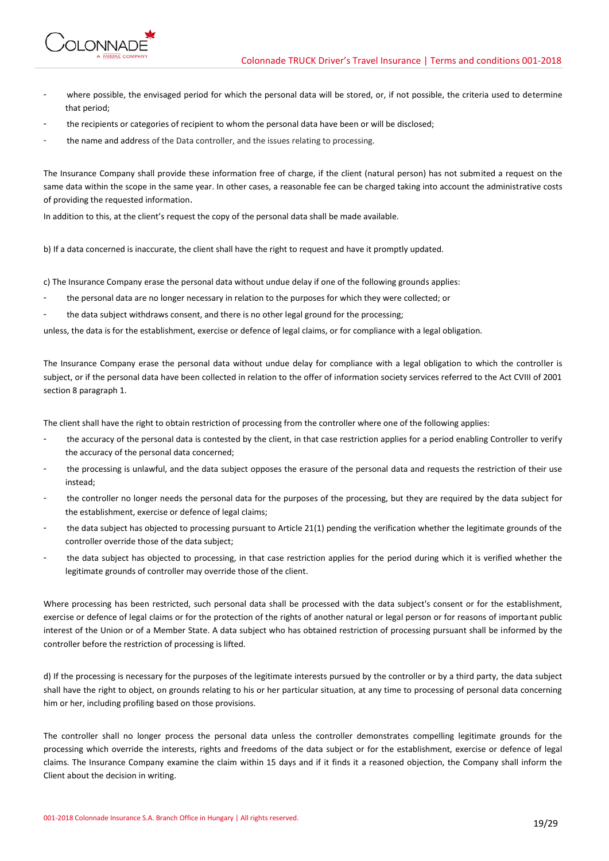

- where possible, the envisaged period for which the personal data will be stored, or, if not possible, the criteria used to determine that period;
- the recipients or categories of recipient to whom the personal data have been or will be disclosed;
- the name and address of the Data controller, and the issues relating to processing.

The Insurance Company shall provide these information free of charge, if the client (natural person) has not submited a request on the same data within the scope in the same year. In other cases, a reasonable fee can be charged taking into account the administrative costs of providing the requested information.

In addition to this, at the client's request the copy of the personal data shall be made available.

b) If a data concerned is inaccurate, the client shall have the right to request and have it promptly updated.

c) The Insurance Company erase the personal data without undue delay if one of the following grounds applies:

- the personal data are no longer necessary in relation to the purposes for which they were collected; or
- the data subject withdraws consent, and there is no other legal ground for the processing;

unless, the data is for the establishment, exercise or defence of legal claims, or for compliance with a legal obligation.

The Insurance Company erase the personal data without undue delay for compliance with a legal obligation to which the controller is subject, or if the personal data have been collected in relation to the offer of information society services referred to the Act CVIII of 2001 section 8 paragraph 1.

The client shall have the right to obtain restriction of processing from the controller where one of the following applies:

- the accuracy of the personal data is contested by the client, in that case restriction applies for a period enabling Controller to verify the accuracy of the personal data concerned;
- the processing is unlawful, and the data subject opposes the erasure of the personal data and requests the restriction of their use instead;
- the controller no longer needs the personal data for the purposes of the processing, but they are required by the data subject for the establishment, exercise or defence of legal claims;
- the data subject has objected to processing pursuant to Article 21(1) pending the verification whether the legitimate grounds of the controller override those of the data subject;
- the data subject has objected to processing, in that case restriction applies for the period during which it is verified whether the legitimate grounds of controller may override those of the client.

Where processing has been restricted, such personal data shall be processed with the data subject's consent or for the establishment, exercise or defence of legal claims or for the protection of the rights of another natural or legal person or for reasons of important public interest of the Union or of a Member State. A data subject who has obtained restriction of processing pursuant shall be informed by the controller before the restriction of processing is lifted.

d) If the processing is necessary for the purposes of the legitimate interests pursued by the controller or by a third party, the data subject shall have the right to object, on grounds relating to his or her particular situation, at any time to processing of personal data concerning him or her, including profiling based on those provisions.

The controller shall no longer process the personal data unless the controller demonstrates compelling legitimate grounds for the processing which override the interests, rights and freedoms of the data subject or for the establishment, exercise or defence of legal claims. The Insurance Company examine the claim within 15 days and if it finds it a reasoned objection, the Company shall inform the Client about the decision in writing.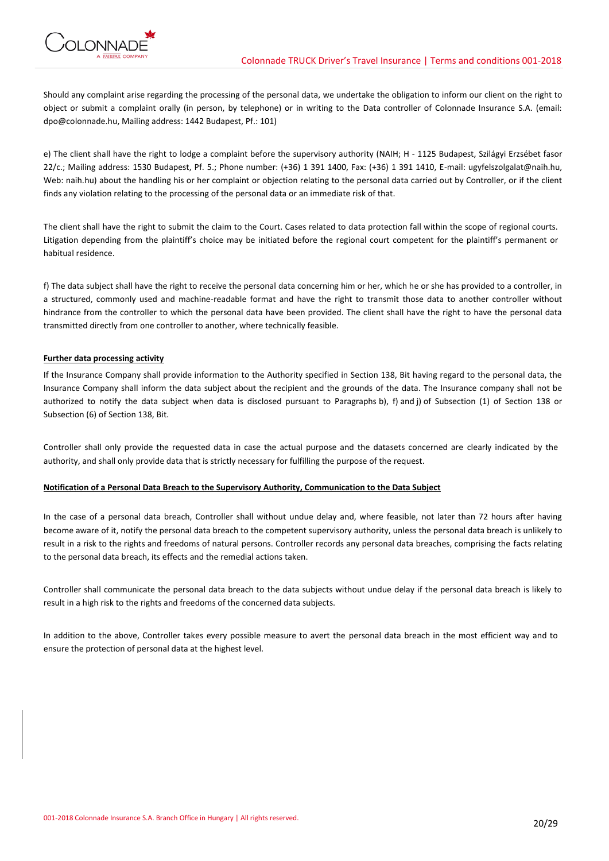

Should any complaint arise regarding the processing of the personal data, we undertake the obligation to inform our client on the right to object or submit a complaint orally (in person, by telephone) or in writing to the Data controller of Colonnade Insurance S.A. (email: dpo@colonnade.hu, Mailing address: 1442 Budapest, Pf.: 101)

e) The client shall have the right to lodge a complaint before the supervisory authority (NAIH; H - 1125 Budapest, Szilágyi Erzsébet fasor 22/c.; Mailing address: 1530 Budapest, Pf. 5.; Phone number: (+36) 1 391 1400, Fax: (+36) 1 391 1410, E-mail: ugyfelszolgalat@naih.hu, Web: naih.hu) about the handling his or her complaint or objection relating to the personal data carried out by Controller, or if the client finds any violation relating to the processing of the personal data or an immediate risk of that.

The client shall have the right to submit the claim to the Court. Cases related to data protection fall within the scope of regional courts. Litigation depending from the plaintiff's choice may be initiated before the regional court competent for the plaintiff's permanent or habitual residence.

f) The data subject shall have the right to receive the personal data concerning him or her, which he or she has provided to a controller, in a structured, commonly used and machine-readable format and have the right to transmit those data to another controller without hindrance from the controller to which the personal data have been provided. The client shall have the right to have the personal data transmitted directly from one controller to another, where technically feasible.

## **Further data processing activity**

If the Insurance Company shall provide information to the Authority specified in Section 138, Bit having regard to the personal data, the Insurance Company shall inform the data subject about the recipient and the grounds of the data. The Insurance company shall not be authorized to notify the data subject when data is disclosed pursuant to Paragraphs b), f) and j) of Subsection (1) of Section 138 or Subsection (6) of Section 138, Bit.

Controller shall only provide the requested data in case the actual purpose and the datasets concerned are clearly indicated by the authority, and shall only provide data that is strictly necessary for fulfilling the purpose of the request.

## **Notification of a Personal Data Breach to the Supervisory Authority, Communication to the Data Subject**

In the case of a personal data breach, Controller shall without undue delay and, where feasible, not later than 72 hours after having become aware of it, notify the personal data breach to the competent supervisory authority, unless the personal data breach is unlikely to result in a risk to the rights and freedoms of natural persons. Controller records any personal data breaches, comprising the facts relating to the personal data breach, its effects and the remedial actions taken.

Controller shall communicate the personal data breach to the data subjects without undue delay if the personal data breach is likely to result in a high risk to the rights and freedoms of the concerned data subjects.

In addition to the above, Controller takes every possible measure to avert the personal data breach in the most efficient way and to ensure the protection of personal data at the highest level.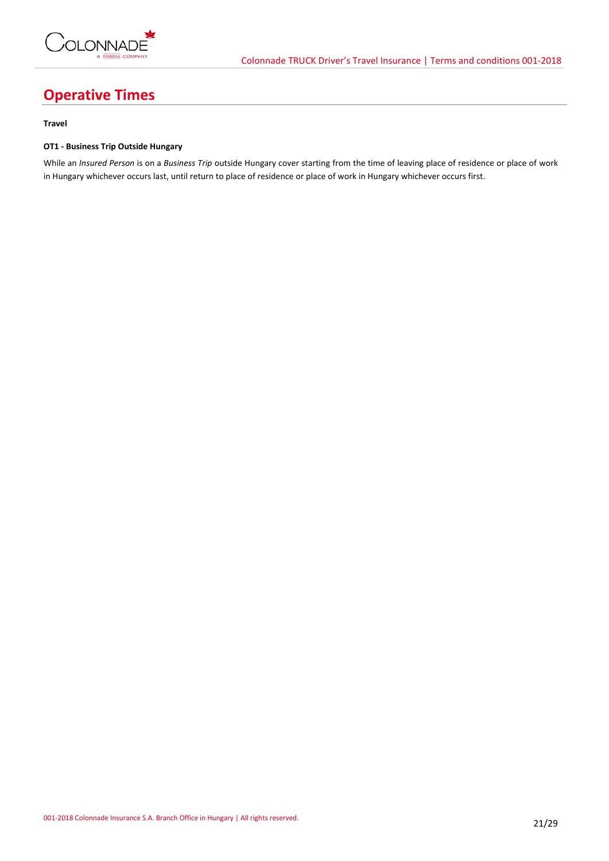

# **Operative Times**

## **Travel**

## **OT1 - Business Trip Outside Hungary**

While an *Insured Person* is on a *Business Trip* outside Hungary cover starting from the time of leaving place of residence or place of work in Hungary whichever occurs last, until return to place of residence or place of work in Hungary whichever occurs first.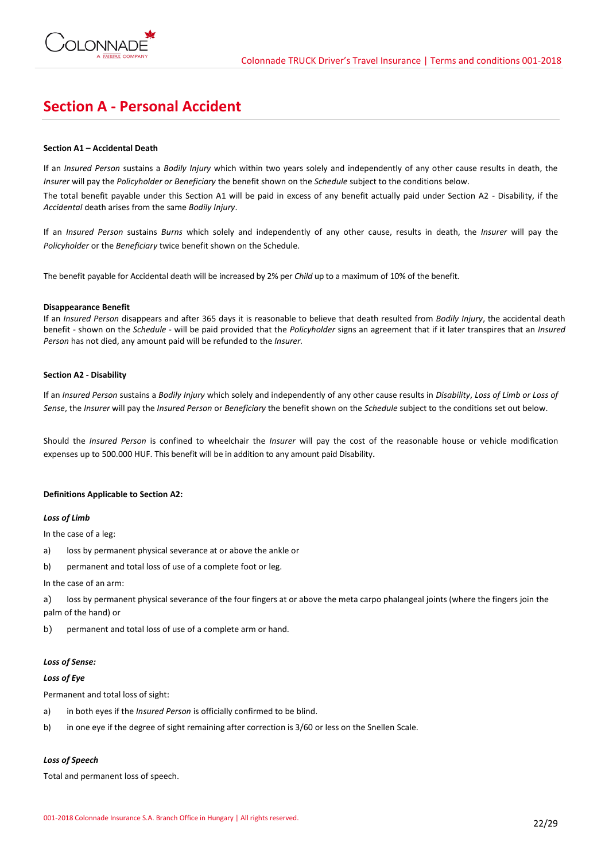

## **Section A - Personal Accident**

## **Section A1 – Accidental Death**

If an *Insured Person* sustains a *Bodily Injury* which within two years solely and independently of any other cause results in death, the *Insurer* will pay the *Policyholder or Beneficiary* the benefit shown on the *Schedule* subject to the conditions below.

The total benefit payable under this Section A1 will be paid in excess of any benefit actually paid under Section A2 - Disability, if the *Accidental* death arises from the same *Bodily Injury*.

If an *Insured Person* sustains *Burns* which solely and independently of any other cause, results in death, the *Insurer* will pay the *Policyholder* or the *Beneficiary* twice benefit shown on the Schedule.

The benefit payable for Accidental death will be increased by 2% per *Child* up to a maximum of 10% of the benefit.

## **Disappearance Benefit**

If an *Insured Person* disappears and after 365 days it is reasonable to believe that death resulted from *Bodily Injury*, the accidental death benefit - shown on the *Schedule* - will be paid provided that the *Policyholder* signs an agreement that if it later transpires that an *Insured Person* has not died, any amount paid will be refunded to the *Insurer.*

## **Section A2 - Disability**

If an *Insured Person* sustains a *Bodily Injury* which solely and independently of any other cause results in *Disability*, *Loss of Limb or Loss of Sense*, the *Insurer* will pay the *Insured Person* or *Beneficiary* the benefit shown on the *Schedule* subject to the conditions set out below.

Should the *Insured Person* is confined to wheelchair the *Insurer* will pay the cost of the reasonable house or vehicle modification expenses up to 500.000 HUF. This benefit will be in addition to any amount paid Disability.

## **Definitions Applicable to Section A2:**

## *Loss of Limb*

In the case of a leg:

- a) loss by permanent physical severance at or above the ankle or
- b) permanent and total loss of use of a complete foot or leg.

#### In the case of an arm:

a) loss by permanent physical severance of the four fingers at or above the meta carpo phalangeal joints (where the fingers join the palm of the hand) or

b) permanent and total loss of use of a complete arm or hand.

## *Loss of Sense:*

## *Loss of Eye*

Permanent and total loss of sight:

- a) in both eyes if the *Insured Person* is officially confirmed to be blind.
- b) in one eye if the degree of sight remaining after correction is 3/60 or less on the Snellen Scale.

## *Loss of Speech*

Total and permanent loss of speech.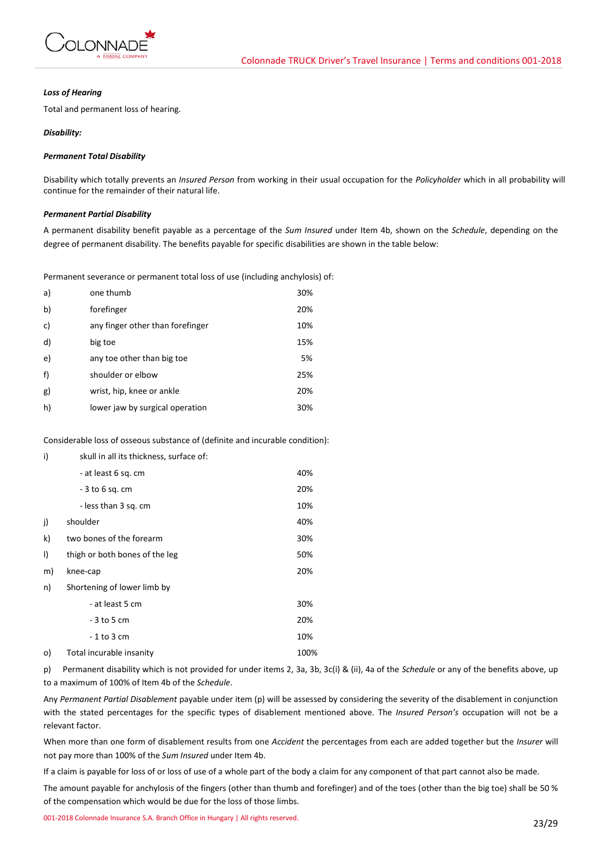

## *Loss of Hearing*

Total and permanent loss of hearing.

## *Disability:*

## *Permanent Total Disability*

Disability which totally prevents an *Insured Person* from working in their usual occupation for the *Policyholder* which in all probability will continue for the remainder of their natural life.

## *Permanent Partial Disability*

A permanent disability benefit payable as a percentage of the *Sum Insured* under Item 4b, shown on the *Schedule*, depending on the degree of permanent disability. The benefits payable for specific disabilities are shown in the table below:

Permanent severance or permanent total loss of use (including anchylosis) of:

| a) | one thumb                        | 30% |
|----|----------------------------------|-----|
| b) | forefinger                       | 20% |
| c) | any finger other than forefinger | 10% |
| d) | big toe                          | 15% |
| e) | any toe other than big toe       | 5%  |
| f) | shoulder or elbow                | 25% |
| g) | wrist, hip, knee or ankle        | 20% |
| h) | lower jaw by surgical operation  | 30% |

Considerable loss of osseous substance of (definite and incurable condition):

| i)      | skull in all its thickness, surface of: |      |
|---------|-----------------------------------------|------|
|         | - at least 6 sq. cm                     | 40%  |
|         | - 3 to 6 sq. cm                         | 20%  |
|         | - less than 3 sq. cm                    | 10%  |
| j)      | shoulder<br>40%                         |      |
| k)      | two bones of the forearm                | 30%  |
| $\vert$ | thigh or both bones of the leg          | 50%  |
| m)      | knee-cap                                | 20%  |
| n)      | Shortening of lower limb by             |      |
|         | - at least 5 cm                         | 30%  |
|         | - 3 to 5 cm                             | 20%  |
|         | - 1 to 3 cm                             | 10%  |
| o)      | Total incurable insanity                | 100% |

p) Permanent disability which is not provided for under items 2, 3a, 3b, 3c(i) & (ii), 4a of the *Schedule* or any of the benefits above, up to a maximum of 100% of Item 4b of the *Schedule*.

Any *Permanent Partial Disablement* payable under item (p) will be assessed by considering the severity of the disablement in conjunction with the stated percentages for the specific types of disablement mentioned above. The *Insured Person's* occupation will not be a relevant factor.

When more than one form of disablement results from one *Accident* the percentages from each are added together but the *Insurer* will not pay more than 100% of the *Sum Insured* under Item 4b.

If a claim is payable for loss of or loss of use of a whole part of the body a claim for any component of that part cannot also be made.

The amount payable for anchylosis of the fingers (other than thumb and forefinger) and of the toes (other than the big toe) shall be 50 % of the compensation which would be due for the loss of those limbs.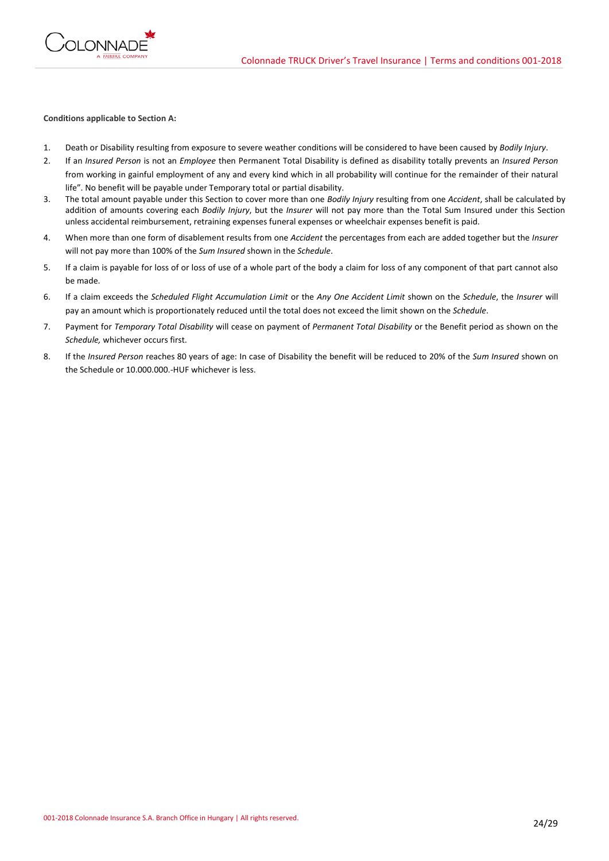

## **Conditions applicable to Section A:**

- 1. Death or Disability resulting from exposure to severe weather conditions will be considered to have been caused by *Bodily Injury*.
- 2. If an *Insured Person* is not an *Employee* then Permanent Total Disability is defined as disability totally prevents an *Insured Person* from working in gainful employment of any and every kind which in all probability will continue for the remainder of their natural life". No benefit will be payable under Temporary total or partial disability.
- 3. The total amount payable under this Section to cover more than one *Bodily Injury* resulting from one *Accident*, shall be calculated by addition of amounts covering each *Bodily Injury*, but the *Insurer* will not pay more than the Total Sum Insured under this Section unless accidental reimbursement, retraining expenses funeral expenses or wheelchair expenses benefit is paid.
- 4. When more than one form of disablement results from one *Accident* the percentages from each are added together but the *Insurer* will not pay more than 100% of the *Sum Insured* shown in the *Schedule*.
- 5. If a claim is payable for loss of or loss of use of a whole part of the body a claim for loss of any component of that part cannot also be made.
- 6. If a claim exceeds the *Scheduled Flight Accumulation Limit* or the *Any One Accident Limit* shown on the *Schedule*, the *Insurer* will pay an amount which is proportionately reduced until the total does not exceed the limit shown on the *Schedule*.
- 7. Payment for *Temporary Total Disability* will cease on payment of *Permanent Total Disability* or the Benefit period as shown on the *Schedule,* whichever occurs first.
- 8. If the *Insured Person* reaches 80 years of age: In case of Disability the benefit will be reduced to 20% of the *Sum Insured* shown on the Schedule or 10.000.000.-HUF whichever is less.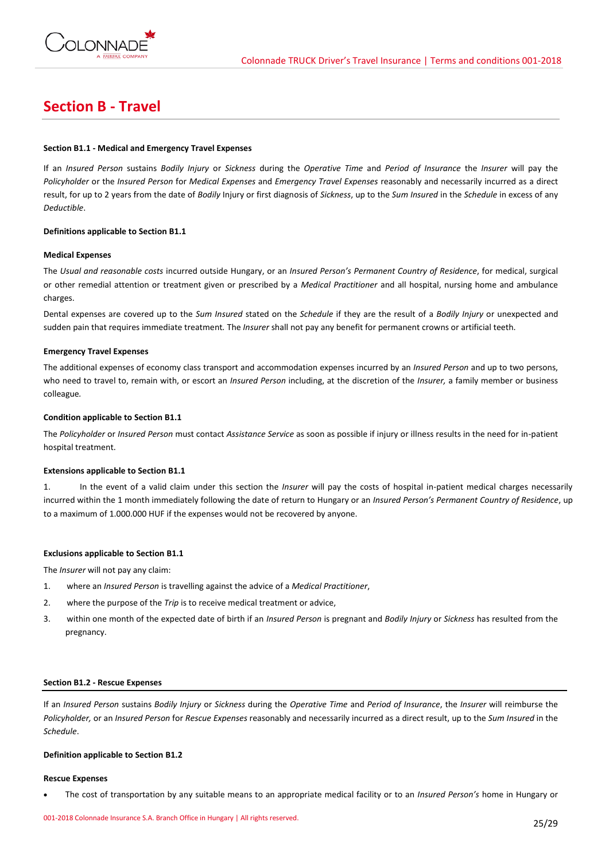

## **Section B - Travel**

## **Section B1.1 - Medical and Emergency Travel Expenses**

If an *Insured Person* sustains *Bodily Injury* or *Sickness* during the *Operative Time* and *Period of Insurance* the *Insurer* will pay the *Policyholder* or the *Insured Person* for *Medical Expenses* and *Emergency Travel Expenses* reasonably and necessarily incurred as a direct result, for up to 2 years from the date of *Bodily* Injury or first diagnosis of *Sickness*, up to the *Sum Insured* in the *Schedule* in excess of any *Deductible*.

## **Definitions applicable to Section B1.1**

## **Medical Expenses**

The *Usual and reasonable costs* incurred outside Hungary, or an *Insured Person's Permanent Country of Residence*, for medical, surgical or other remedial attention or treatment given or prescribed by a *Medical Practitioner* and all hospital, nursing home and ambulance charges.

Dental expenses are covered up to the *Sum Insured* stated on the *Schedule* if they are the result of a *Bodily Injury* or unexpected and sudden pain that requires immediate treatment*.* The *Insurer* shall not pay any benefit for permanent crowns or artificial teeth.

## **Emergency Travel Expenses**

The additional expenses of economy class transport and accommodation expenses incurred by an *Insured Person* and up to two persons, who need to travel to, remain with, or escort an *Insured Person* including, at the discretion of the *Insurer,* a family member or business colleague*.*

## **Condition applicable to Section B1.1**

The *Policyholder* or *Insured Person* must contact *Assistance Service* as soon as possible if injury or illness results in the need for in-patient hospital treatment.

## **Extensions applicable to Section B1.1**

1. In the event of a valid claim under this section the *Insurer* will pay the costs of hospital in-patient medical charges necessarily incurred within the 1 month immediately following the date of return to Hungary or an *Insured Person's Permanent Country of Residence*, up to a maximum of 1.000.000 HUF if the expenses would not be recovered by anyone.

## **Exclusions applicable to Section B1.1**

The *Insurer* will not pay any claim:

- 1. where an *Insured Person* is travelling against the advice of a *Medical Practitioner*,
- 2. where the purpose of the *Trip* is to receive medical treatment or advice,
- 3. within one month of the expected date of birth if an *Insured Person* is pregnant and *Bodily Injury* or *Sickness* has resulted from the pregnancy.

## **Section B1.2 - Rescue Expenses**

If an *Insured Person* sustains *Bodily Injury* or *Sickness* during the *Operative Time* and *Period of Insurance*, the *Insurer* will reimburse the *Policyholder,* or an *Insured Person* for *Rescue Expenses* reasonably and necessarily incurred as a direct result, up to the *Sum Insured* in the *Schedule*.

#### **Definition applicable to Section B1.2**

#### **Rescue Expenses**

• The cost of transportation by any suitable means to an appropriate medical facility or to an *Insured Person's* home in Hungary or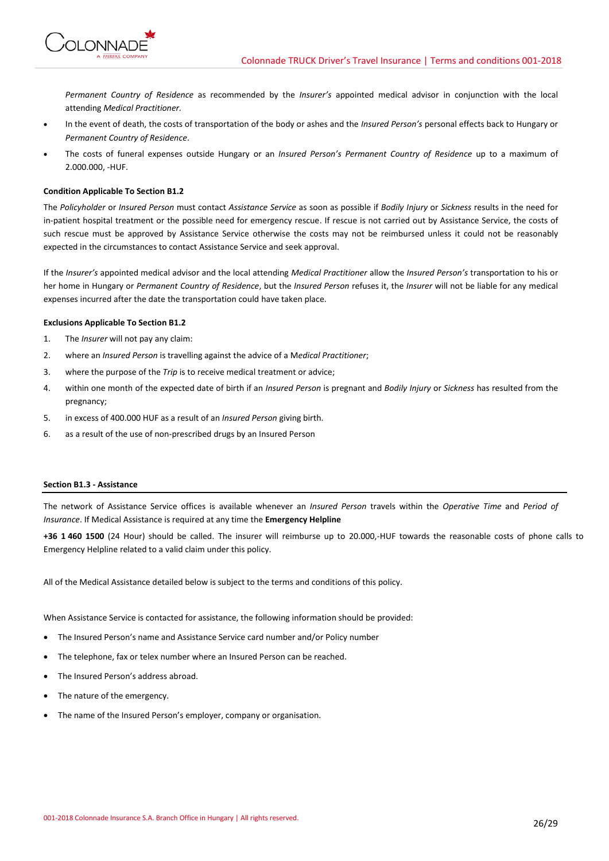

*Permanent Country of Residence* as recommended by the *Insurer's* appointed medical advisor in conjunction with the local attending *Medical Practitioner.*

- In the event of death, the costs of transportation of the body or ashes and the *Insured Person's* personal effects back to Hungary or *Permanent Country of Residence*.
- The costs of funeral expenses outside Hungary or an *Insured Person's Permanent Country of Residence* up to a maximum of 2.000.000, -HUF.

## **Condition Applicable To Section B1.2**

The *Policyholder* or *Insured Person* must contact *Assistance Service* as soon as possible if *Bodily Injury* or *Sickness* results in the need for in-patient hospital treatment or the possible need for emergency rescue. If rescue is not carried out by Assistance Service, the costs of such rescue must be approved by Assistance Service otherwise the costs may not be reimbursed unless it could not be reasonably expected in the circumstances to contact Assistance Service and seek approval.

If the *Insurer's* appointed medical advisor and the local attending *Medical Practitioner* allow the *Insured Person's* transportation to his or her home in Hungary or *Permanent Country of Residence*, but the *Insured Person* refuses it, the *Insurer* will not be liable for any medical expenses incurred after the date the transportation could have taken place.

## **Exclusions Applicable To Section B1.2**

- 1. The *Insurer* will not pay any claim:
- 2. where an *Insured Person* is travelling against the advice of a M*edical Practitioner*;
- 3. where the purpose of the *Trip* is to receive medical treatment or advice;
- 4. within one month of the expected date of birth if an *Insured Person* is pregnant and *Bodily Injury* or *Sickness* has resulted from the pregnancy;
- 5. in excess of 400.000 HUF as a result of an *Insured Person* giving birth.
- 6. as a result of the use of non-prescribed drugs by an Insured Person

## **Section B1.3 - Assistance**

The network of Assistance Service offices is available whenever an *Insured Person* travels within the *Operative Time* and *Period of Insurance*. If Medical Assistance is required at any time the **Emergency Helpline**

**+36 1 460 1500** (24 Hour) should be called. The insurer will reimburse up to 20.000,-HUF towards the reasonable costs of phone calls to Emergency Helpline related to a valid claim under this policy.

All of the Medical Assistance detailed below is subject to the terms and conditions of this policy.

When Assistance Service is contacted for assistance, the following information should be provided:

- The Insured Person's name and Assistance Service card number and/or Policy number
- The telephone, fax or telex number where an Insured Person can be reached.
- The Insured Person's address abroad.
- The nature of the emergency.
- The name of the Insured Person's employer, company or organisation.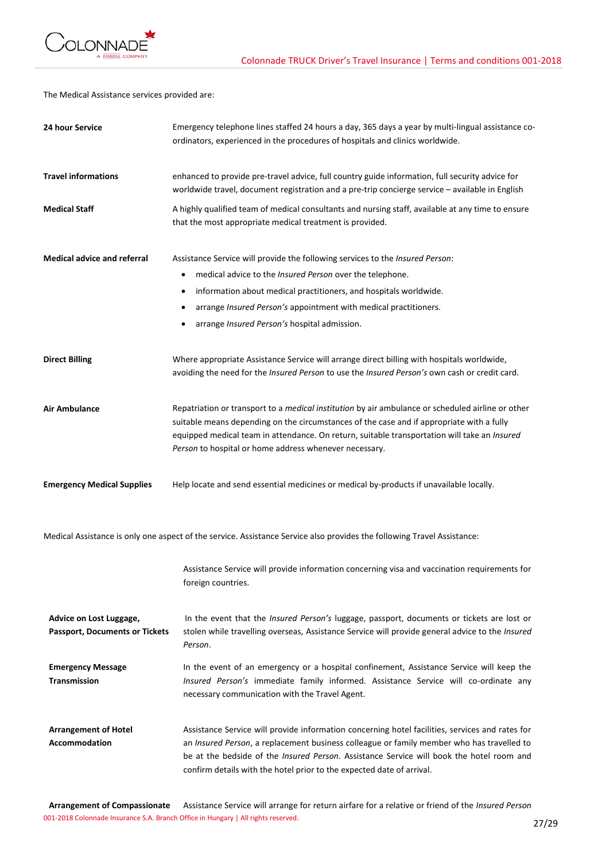

The Medical Assistance services provided are:

| 24 hour Service                                                  | Emergency telephone lines staffed 24 hours a day, 365 days a year by multi-lingual assistance co-<br>ordinators, experienced in the procedures of hospitals and clinics worldwide.                                                                                                                                                                                        |
|------------------------------------------------------------------|---------------------------------------------------------------------------------------------------------------------------------------------------------------------------------------------------------------------------------------------------------------------------------------------------------------------------------------------------------------------------|
| <b>Travel informations</b>                                       | enhanced to provide pre-travel advice, full country guide information, full security advice for<br>worldwide travel, document registration and a pre-trip concierge service - available in English                                                                                                                                                                        |
| <b>Medical Staff</b>                                             | A highly qualified team of medical consultants and nursing staff, available at any time to ensure<br>that the most appropriate medical treatment is provided.                                                                                                                                                                                                             |
| <b>Medical advice and referral</b>                               | Assistance Service will provide the following services to the Insured Person:<br>medical advice to the Insured Person over the telephone.<br>٠<br>information about medical practitioners, and hospitals worldwide.<br>$\bullet$<br>arrange Insured Person's appointment with medical practitioners.<br>arrange Insured Person's hospital admission.                      |
| <b>Direct Billing</b>                                            | Where appropriate Assistance Service will arrange direct billing with hospitals worldwide,<br>avoiding the need for the Insured Person to use the Insured Person's own cash or credit card.                                                                                                                                                                               |
| <b>Air Ambulance</b>                                             | Repatriation or transport to a <i>medical institution</i> by air ambulance or scheduled airline or other<br>suitable means depending on the circumstances of the case and if appropriate with a fully<br>equipped medical team in attendance. On return, suitable transportation will take an Insured<br>Person to hospital or home address whenever necessary.           |
| <b>Emergency Medical Supplies</b>                                | Help locate and send essential medicines or medical by-products if unavailable locally.                                                                                                                                                                                                                                                                                   |
|                                                                  | Medical Assistance is only one aspect of the service. Assistance Service also provides the following Travel Assistance:                                                                                                                                                                                                                                                   |
|                                                                  | Assistance Service will provide information concerning visa and vaccination requirements for<br>foreign countries.                                                                                                                                                                                                                                                        |
| Advice on Lost Luggage,<br><b>Passport, Documents or Tickets</b> | In the event that the <i>Insured Person's</i> luggage, passport, documents or tickets are lost or<br>stolen while travelling overseas, Assistance Service will provide general advice to the Insured<br>Person.                                                                                                                                                           |
| <b>Emergency Message</b><br><b>Transmission</b>                  | In the event of an emergency or a hospital confinement, Assistance Service will keep the<br>Insured Person's immediate family informed. Assistance Service will co-ordinate any<br>necessary communication with the Travel Agent.                                                                                                                                         |
| <b>Arrangement of Hotel</b><br><b>Accommodation</b>              | Assistance Service will provide information concerning hotel facilities, services and rates for<br>an Insured Person, a replacement business colleague or family member who has travelled to<br>be at the bedside of the <i>Insured Person</i> . Assistance Service will book the hotel room and<br>confirm details with the hotel prior to the expected date of arrival. |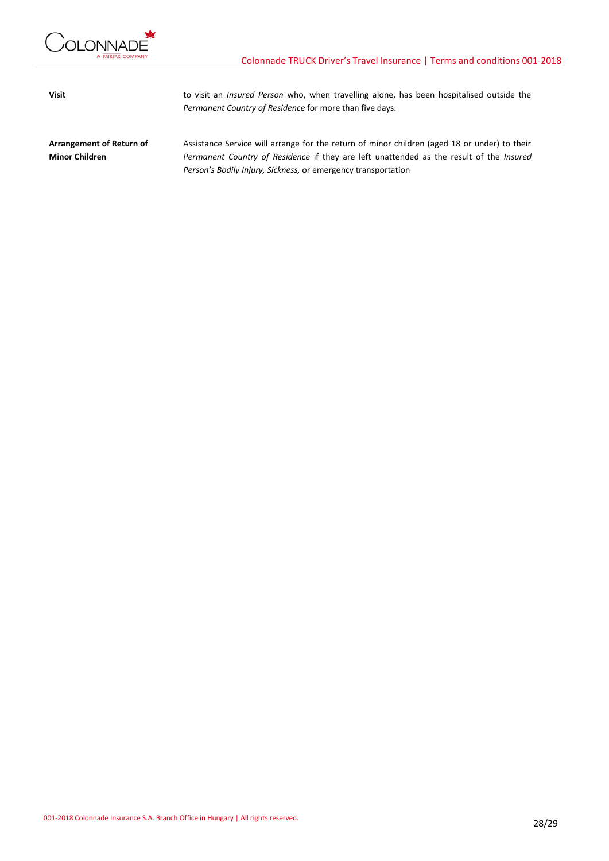

**Visit** to visit an *Insured Person* who, when travelling alone, has been hospitalised outside the *Permanent Country of Residence* for more than five days.

**Arrangement of Return of Minor Children** Assistance Service will arrange for the return of minor children (aged 18 or under) to their *Permanent Country of Residence* if they are left unattended as the result of the *Insured Person's Bodily Injury, Sickness,* or emergency transportation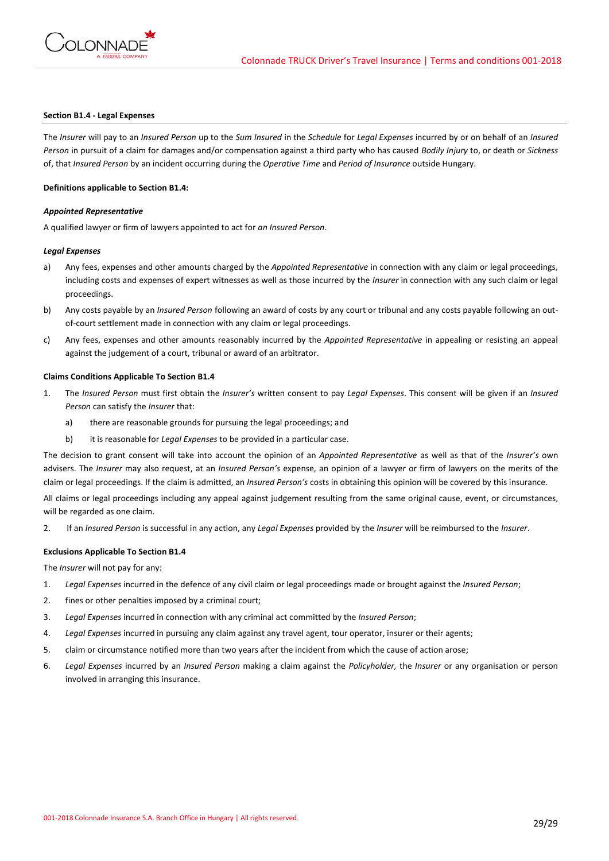

## **Section B1.4 - Legal Expenses**

The *Insurer* will pay to an *Insured Person* up to the *Sum Insured* in the *Schedule* for *Legal Expenses* incurred by or on behalf of an *Insured Person* in pursuit of a claim for damages and/or compensation against a third party who has caused *Bodily Injury* to, or death or *Sickness* of, that *Insured Person* by an incident occurring during the *Operative Time* and *Period of Insurance* outside Hungary.

#### **Definitions applicable to Section B1.4:**

## *Appointed Representative*

A qualified lawyer or firm of lawyers appointed to act for *an Insured Person*.

## *Legal Expenses*

- a) Any fees, expenses and other amounts charged by the *Appointed Representative* in connection with any claim or legal proceedings, including costs and expenses of expert witnesses as well as those incurred by the *Insurer* in connection with any such claim or legal proceedings.
- b) Any costs payable by an *Insured Person* following an award of costs by any court or tribunal and any costs payable following an outof-court settlement made in connection with any claim or legal proceedings.
- c) Any fees, expenses and other amounts reasonably incurred by the *Appointed Representative* in appealing or resisting an appeal against the judgement of a court, tribunal or award of an arbitrator.

## **Claims Conditions Applicable To Section B1.4**

- 1. The *Insured Person* must first obtain the *Insurer's* written consent to pay *Legal Expenses*. This consent will be given if an *Insured Person* can satisfy the *Insurer* that:
	- a) there are reasonable grounds for pursuing the legal proceedings; and
	- b) it is reasonable for *Legal Expenses* to be provided in a particular case.

The decision to grant consent will take into account the opinion of an *Appointed Representative* as well as that of the *Insurer's* own advisers. The *Insurer* may also request, at an *Insured Person's* expense, an opinion of a lawyer or firm of lawyers on the merits of the claim or legal proceedings. If the claim is admitted, an *Insured Person's* costs in obtaining this opinion will be covered by this insurance.

All claims or legal proceedings including any appeal against judgement resulting from the same original cause, event, or circumstances, will be regarded as one claim.

2. If an *Insured Person* is successful in any action, any *Legal Expenses* provided by the *Insurer* will be reimbursed to the *Insurer*.

### **Exclusions Applicable To Section B1.4**

The *Insurer* will not pay for any:

- 1. *Legal Expenses* incurred in the defence of any civil claim or legal proceedings made or brought against the *Insured Person*;
- 2. fines or other penalties imposed by a criminal court;
- 3. *Legal Expenses* incurred in connection with any criminal act committed by the *Insured Person*;
- 4. *Legal Expenses* incurred in pursuing any claim against any travel agent, tour operator, insurer or their agents;
- 5. claim or circumstance notified more than two years after the incident from which the cause of action arose;
- 6. *Legal Expenses* incurred by an *Insured Person* making a claim against the *Policyholder,* the *Insurer* or any organisation or person involved in arranging this insurance.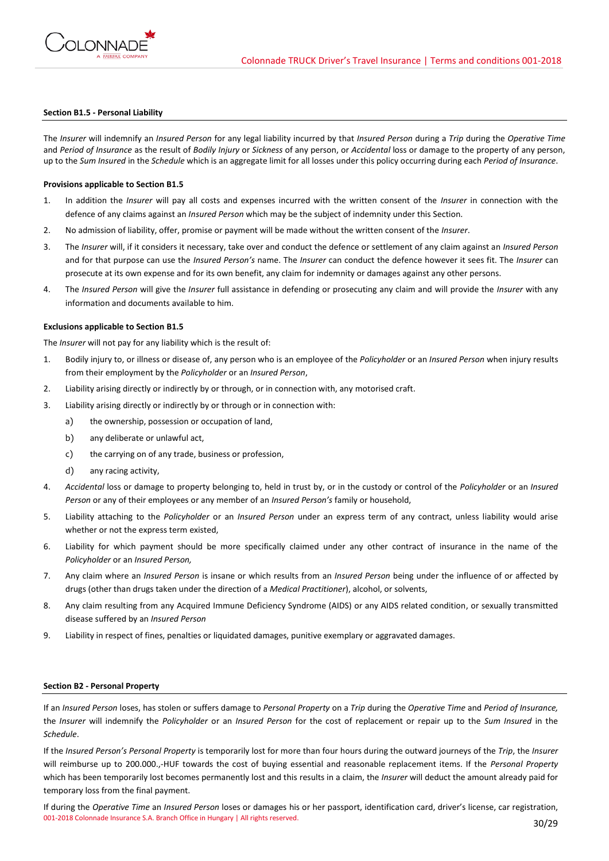

#### **Section B1.5 - Personal Liability**

The *Insurer* will indemnify an *Insured Person* for any legal liability incurred by that *Insured Person* during a *Trip* during the *Operative Time*  and *Period of Insurance* as the result of *Bodily Injury* or *Sickness* of any person, or *Accidental* loss or damage to the property of any person, up to the *Sum Insured* in the *Schedule* which is an aggregate limit for all losses under this policy occurring during each *Period of Insurance*.

#### **Provisions applicable to Section B1.5**

- 1. In addition the *Insurer* will pay all costs and expenses incurred with the written consent of the *Insurer* in connection with the defence of any claims against an *Insured Person* which may be the subject of indemnity under this Section.
- 2. No admission of liability, offer, promise or payment will be made without the written consent of the *Insurer*.
- 3. The *Insurer* will, if it considers it necessary, take over and conduct the defence or settlement of any claim against an *Insured Person* and for that purpose can use the *Insured Person's* name. The *Insurer* can conduct the defence however it sees fit. The *Insurer* can prosecute at its own expense and for its own benefit, any claim for indemnity or damages against any other persons.
- 4. The *Insured Person* will give the *Insurer* full assistance in defending or prosecuting any claim and will provide the *Insurer* with any information and documents available to him.

#### **Exclusions applicable to Section B1.5**

The *Insurer* will not pay for any liability which is the result of:

- 1. Bodily injury to, or illness or disease of, any person who is an employee of the *Policyholder* or an *Insured Person* when injury results from their employment by the *Policyholder* or an *Insured Person*,
- 2. Liability arising directly or indirectly by or through, or in connection with, any motorised craft.
- 3. Liability arising directly or indirectly by or through or in connection with:
	- a) the ownership, possession or occupation of land,
	- b) any deliberate or unlawful act,
	- c) the carrying on of any trade, business or profession,
	- d) any racing activity,
- 4. *Accidental* loss or damage to property belonging to, held in trust by, or in the custody or control of the *Policyholder* or an *Insured Person* or any of their employees or any member of an *Insured Person's* family or household,
- 5. Liability attaching to the *Policyholder* or an *Insured Person* under an express term of any contract, unless liability would arise whether or not the express term existed,
- 6. Liability for which payment should be more specifically claimed under any other contract of insurance in the name of the *Policyholder* or an *Insured Person,*
- 7. Any claim where an *Insured Person* is insane or which results from an *Insured Person* being under the influence of or affected by drugs (other than drugs taken under the direction of a *Medical Practitioner*), alcohol, or solvents,
- 8. Any claim resulting from any Acquired Immune Deficiency Syndrome (AIDS) or any AIDS related condition, or sexually transmitted disease suffered by an *Insured Person*
- 9. Liability in respect of fines, penalties or liquidated damages, punitive exemplary or aggravated damages.

### **Section B2 - Personal Property**

If an *Insured Person* loses, has stolen or suffers damage to *Personal Property* on a *Trip* during the *Operative Time* and *Period of Insurance,* the *Insurer* will indemnify the *Policyholder* or an *Insured Person* for the cost of replacement or repair up to the *Sum Insured* in the *Schedule*.

If the *Insured Person's Personal Property* is temporarily lost for more than four hours during the outward journeys of the *Trip*, the *Insurer* will reimburse up to 200.000.,-HUF towards the cost of buying essential and reasonable replacement items. If the *Personal Property* which has been temporarily lost becomes permanently lost and this results in a claim, the *Insurer* will deduct the amount already paid for temporary loss from the final payment.

001-2018 Colonnade Insurance S.A. Branch Office in Hungary | All rights reserved. 30/29 If during the *Operative Time* an *Insured Person* loses or damages his or her passport, identification card, driver's license, car registration,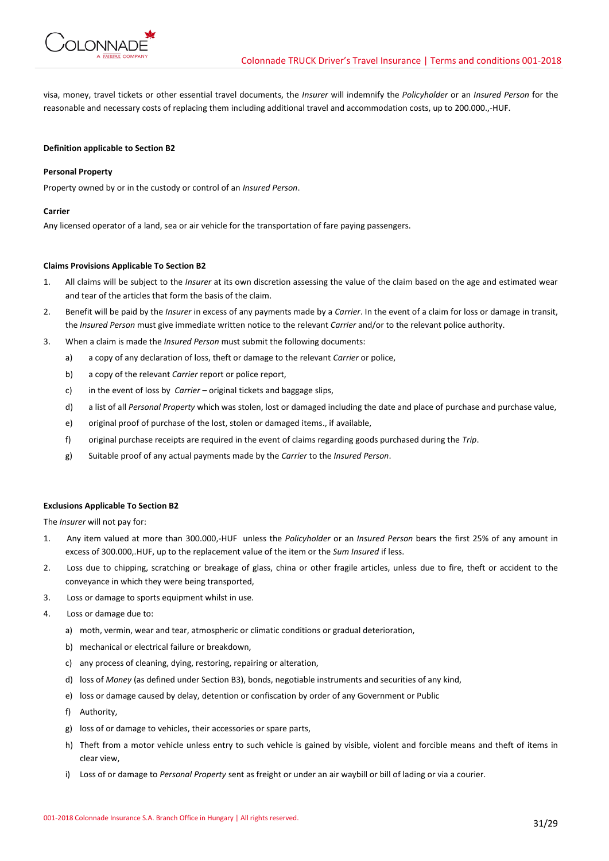

visa, money, travel tickets or other essential travel documents, the *Insurer* will indemnify the *Policyholder* or an *Insured Person* for the reasonable and necessary costs of replacing them including additional travel and accommodation costs, up to 200.000.,-HUF.

## **Definition applicable to Section B2**

## **Personal Property**

Property owned by or in the custody or control of an *Insured Person*.

#### **Carrier**

Any licensed operator of a land, sea or air vehicle for the transportation of fare paying passengers.

## **Claims Provisions Applicable To Section B2**

- 1. All claims will be subject to the *Insurer* at its own discretion assessing the value of the claim based on the age and estimated wear and tear of the articles that form the basis of the claim.
- 2. Benefit will be paid by the *Insurer* in excess of any payments made by a *Carrier*. In the event of a claim for loss or damage in transit, the *Insured Person* must give immediate written notice to the relevant *Carrier* and/or to the relevant police authority.
- 3. When a claim is made the *Insured Person* must submit the following documents:
	- a) a copy of any declaration of loss, theft or damage to the relevant *Carrier* or police,
	- b) a copy of the relevant *Carrier* report or police report,
	- c) in the event of loss by *Carrier*  original tickets and baggage slips,
	- d) a list of all *Personal Property* which was stolen, lost or damaged including the date and place of purchase and purchase value,
	- e) original proof of purchase of the lost, stolen or damaged items., if available,
	- f) original purchase receipts are required in the event of claims regarding goods purchased during the *Trip*.
	- g) Suitable proof of any actual payments made by the *Carrier* to the *Insured Person*.

#### **Exclusions Applicable To Section B2**

The *Insurer* will not pay for:

- 1. Any item valued at more than 300.000,-HUF unless the *Policyholder* or an *Insured Person* bears the first 25% of any amount in excess of 300.000,.HUF, up to the replacement value of the item or the *Sum Insured* if less.
- 2. Loss due to chipping, scratching or breakage of glass, china or other fragile articles, unless due to fire, theft or accident to the conveyance in which they were being transported,
- 3. Loss or damage to sports equipment whilst in use.
- 4. Loss or damage due to:
	- a) moth, vermin, wear and tear, atmospheric or climatic conditions or gradual deterioration,
	- b) mechanical or electrical failure or breakdown,
	- c) any process of cleaning, dying, restoring, repairing or alteration,
	- d) loss of *Money* (as defined under Section B3), bonds, negotiable instruments and securities of any kind,
	- e) loss or damage caused by delay, detention or confiscation by order of any Government or Public
	- f) Authority,
	- g) loss of or damage to vehicles, their accessories or spare parts,
	- h) Theft from a motor vehicle unless entry to such vehicle is gained by visible, violent and forcible means and theft of items in clear view,
	- i) Loss of or damage to *Personal Property* sent as freight or under an air waybill or bill of lading or via a courier.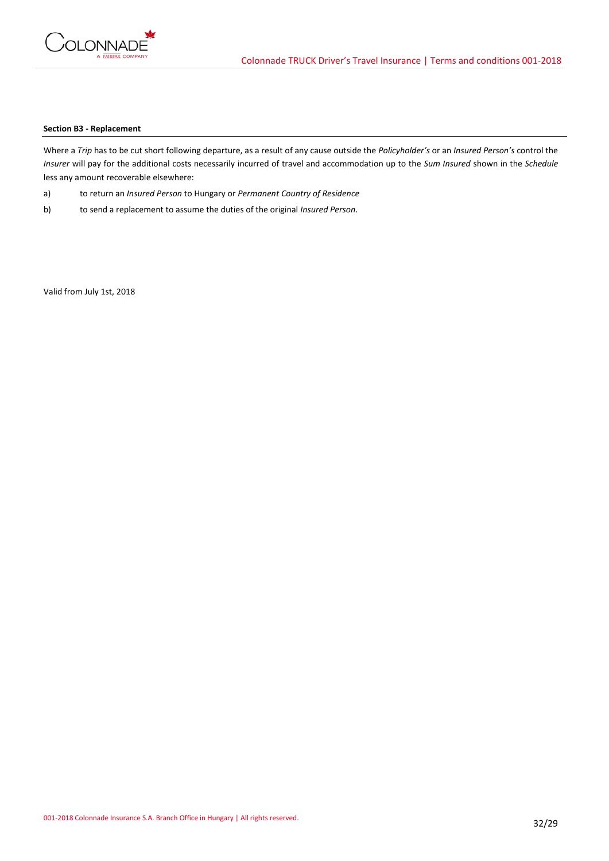

## **Section B3 - Replacement**

Where a *Trip* has to be cut short following departure, as a result of any cause outside the *Policyholder's* or an *Insured Person's* control the *Insurer* will pay for the additional costs necessarily incurred of travel and accommodation up to the *Sum Insured* shown in the *Schedule* less any amount recoverable elsewhere:

- a) to return an *Insured Person* to Hungary or *Permanent Country of Residence*
- b) to send a replacement to assume the duties of the original *Insured Person*.

Valid from July 1st, 2018